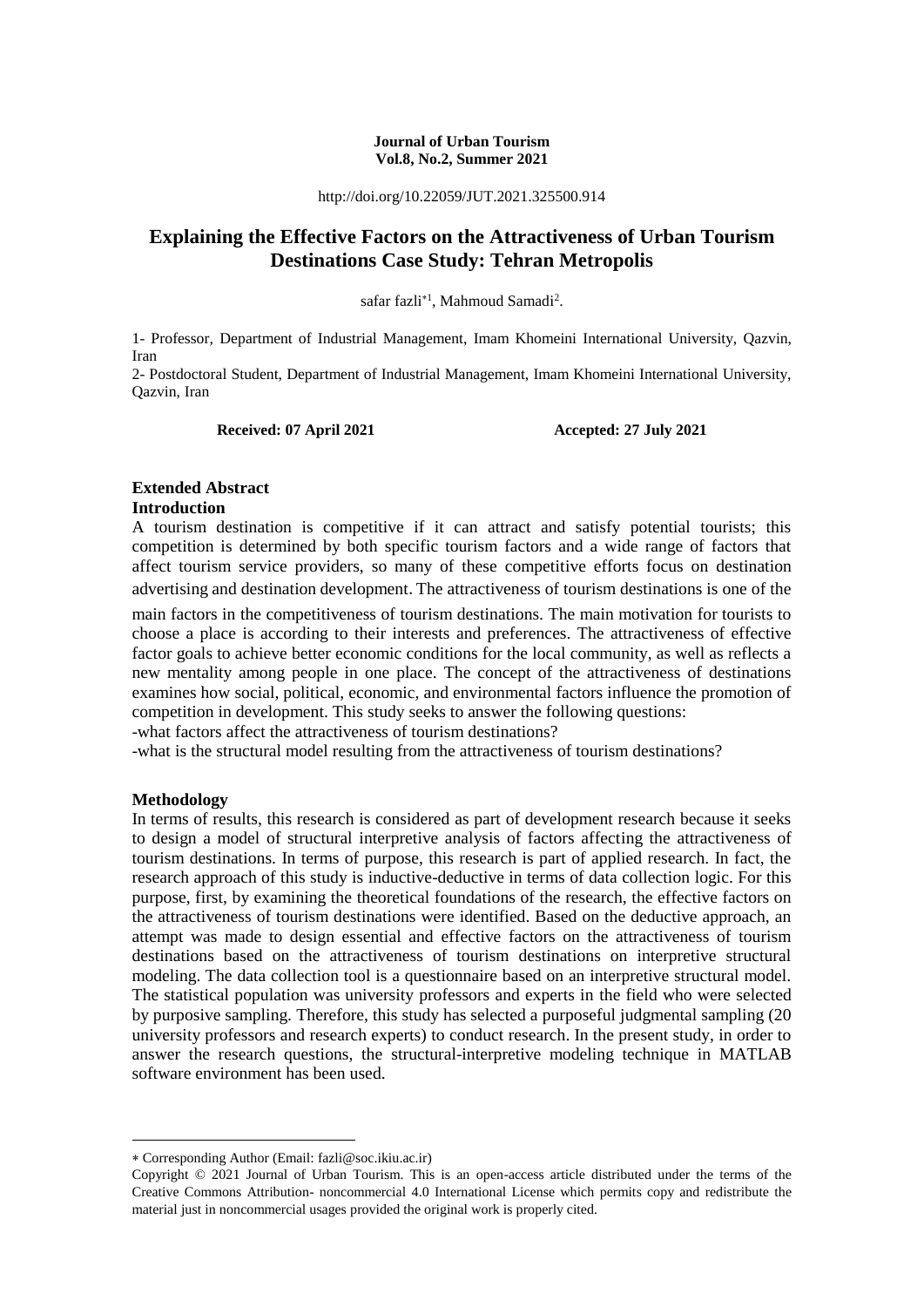#### **Journal of Urban Tourism Vol.8, No.2, Summer 2021**

http://doi.org/10.22059/JUT.2021.325500.914

# **Explaining the Effective Factors on the Attractiveness of Urban Tourism Destinations Case Study: Tehran Metropolis**

safar fazli<sup>\*1</sup>, Mahmoud Samadi<sup>2</sup>.

1- Professor, Department of Industrial Management, Imam Khomeini International University, Qazvin, Iran

2- Postdoctoral Student, Department of Industrial Management, Imam Khomeini International University, Qazvin, Iran

**Received: 07 April 2021 Accepted: 27 July 2021** 

#### **Extended Abstract Introduction**

A tourism destination is competitive if it can attract and satisfy potential tourists; this competition is determined by both specific tourism factors and a wide range of factors that affect tourism service providers, so many of these competitive efforts focus on destination advertising and destination development. The attractiveness of tourism destinations is one of the

main factors in the competitiveness of tourism destinations. The main motivation for tourists to choose a place is according to their interests and preferences. The attractiveness of effective factor goals to achieve better economic conditions for the local community, as well as reflects a new mentality among people in one place. The concept of the attractiveness of destinations examines how social, political, economic, and environmental factors influence the promotion of competition in development. This study seeks to answer the following questions:

-what factors affect the attractiveness of tourism destinations?

-what is the structural model resulting from the attractiveness of tourism destinations?

#### **Methodology**

1

In terms of results, this research is considered as part of development research because it seeks to design a model of structural interpretive analysis of factors affecting the attractiveness of tourism destinations. In terms of purpose, this research is part of applied research. In fact, the research approach of this study is inductive-deductive in terms of data collection logic. For this purpose, first, by examining the theoretical foundations of the research, the effective factors on the attractiveness of tourism destinations were identified. Based on the deductive approach, an attempt was made to design essential and effective factors on the attractiveness of tourism destinations based on the attractiveness of tourism destinations on interpretive structural modeling. The data collection tool is a questionnaire based on an interpretive structural model. The statistical population was university professors and experts in the field who were selected by purposive sampling. Therefore, this study has selected a purposeful judgmental sampling (20 university professors and research experts) to conduct research. In the present study, in order to answer the research questions, the structural-interpretive modeling technique in MATLAB software environment has been used.

Corresponding Author (Email: fazli@soc.ikiu.ac.ir)

Copyright © 2021 Journal of Urban Tourism. This is an open-access article distributed under the terms of the Creative Commons Attribution- noncommercial 4.0 International License which permits copy and redistribute the material just in noncommercial usages provided the original work is properly cited.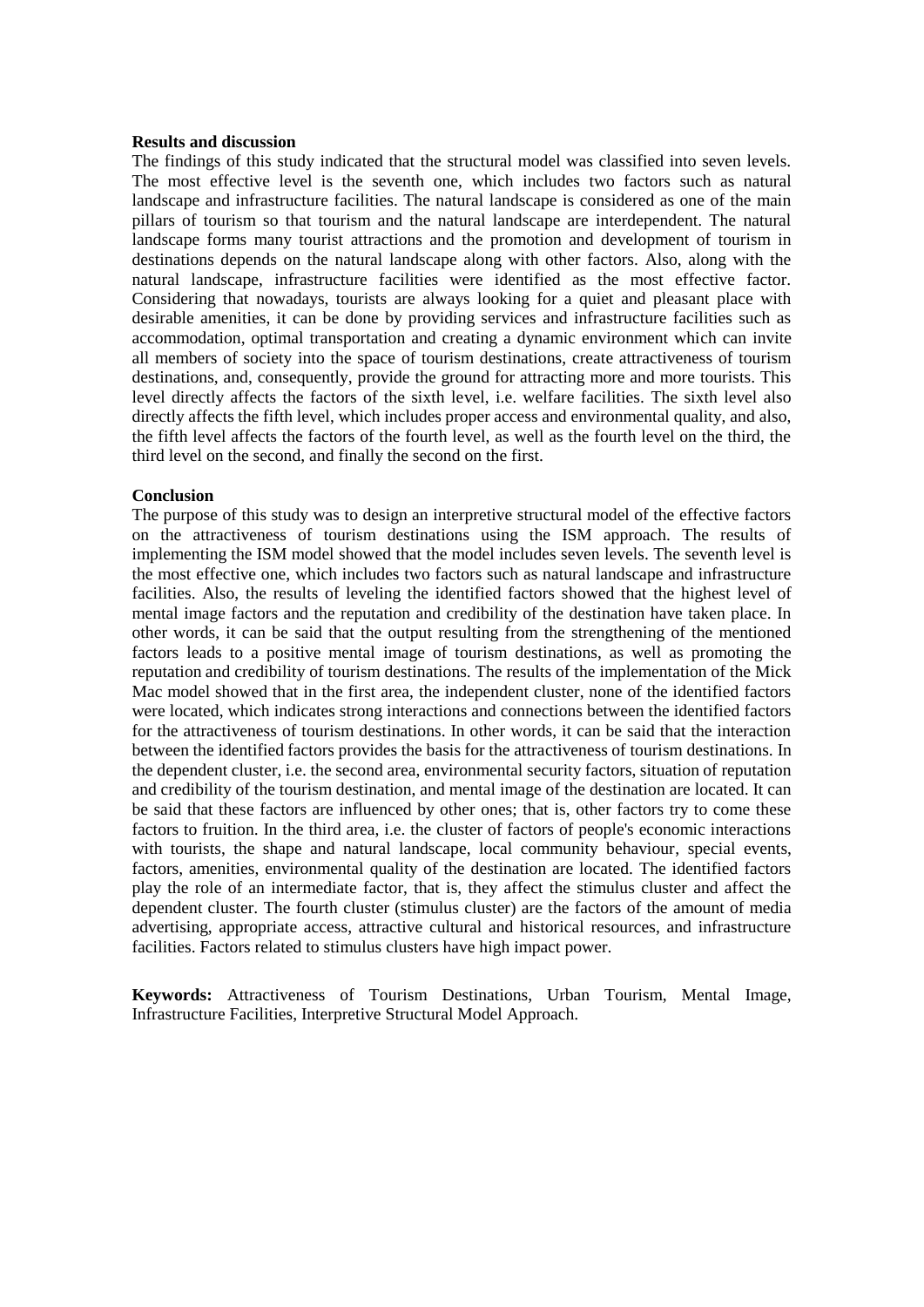#### **Results and discussion**

The findings of this study indicated that the structural model was classified into seven levels. The most effective level is the seventh one, which includes two factors such as natural landscape and infrastructure facilities. The natural landscape is considered as one of the main pillars of tourism so that tourism and the natural landscape are interdependent. The natural landscape forms many tourist attractions and the promotion and development of tourism in destinations depends on the natural landscape along with other factors. Also, along with the natural landscape, infrastructure facilities were identified as the most effective factor. Considering that nowadays, tourists are always looking for a quiet and pleasant place with desirable amenities, it can be done by providing services and infrastructure facilities such as accommodation, optimal transportation and creating a dynamic environment which can invite all members of society into the space of tourism destinations, create attractiveness of tourism destinations, and, consequently, provide the ground for attracting more and more tourists. This level directly affects the factors of the sixth level, i.e. welfare facilities. The sixth level also directly affects the fifth level, which includes proper access and environmental quality, and also, the fifth level affects the factors of the fourth level, as well as the fourth level on the third, the third level on the second, and finally the second on the first.

#### **Conclusion**

The purpose of this study was to design an interpretive structural model of the effective factors on the attractiveness of tourism destinations using the ISM approach. The results of implementing the ISM model showed that the model includes seven levels. The seventh level is the most effective one, which includes two factors such as natural landscape and infrastructure facilities. Also, the results of leveling the identified factors showed that the highest level of mental image factors and the reputation and credibility of the destination have taken place. In other words, it can be said that the output resulting from the strengthening of the mentioned factors leads to a positive mental image of tourism destinations, as well as promoting the reputation and credibility of tourism destinations. The results of the implementation of the Mick Mac model showed that in the first area, the independent cluster, none of the identified factors were located, which indicates strong interactions and connections between the identified factors for the attractiveness of tourism destinations. In other words, it can be said that the interaction between the identified factors provides the basis for the attractiveness of tourism destinations. In the dependent cluster, i.e. the second area, environmental security factors, situation of reputation and credibility of the tourism destination, and mental image of the destination are located. It can be said that these factors are influenced by other ones; that is, other factors try to come these factors to fruition. In the third area, i.e. the cluster of factors of people's economic interactions with tourists, the shape and natural landscape, local community behaviour, special events, factors, amenities, environmental quality of the destination are located. The identified factors play the role of an intermediate factor, that is, they affect the stimulus cluster and affect the dependent cluster. The fourth cluster (stimulus cluster) are the factors of the amount of media advertising, appropriate access, attractive cultural and historical resources, and infrastructure facilities. Factors related to stimulus clusters have high impact power.

**Keywords:** Attractiveness of Tourism Destinations, Urban Tourism, Mental Image, Infrastructure Facilities, Interpretive Structural Model Approach.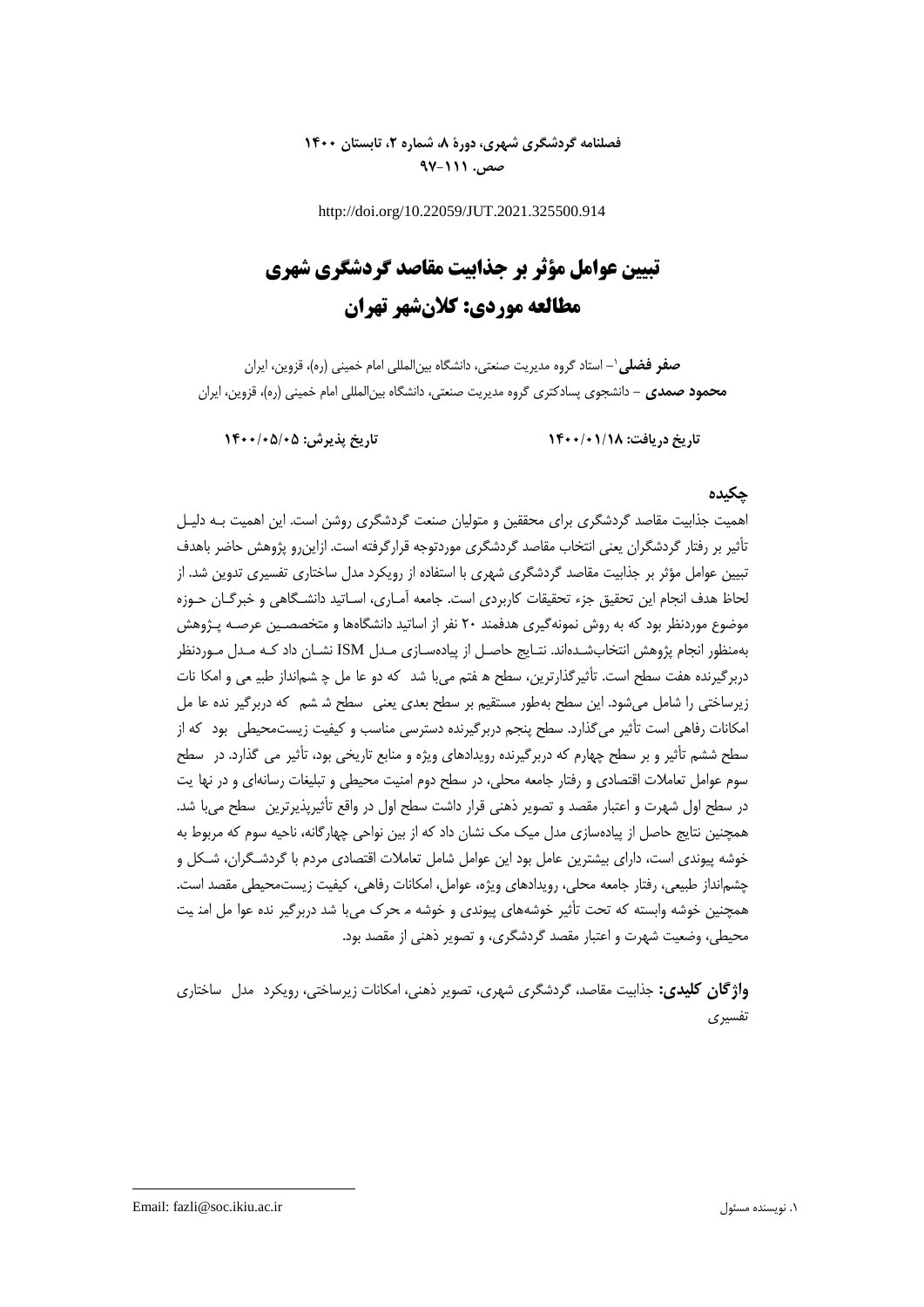# **فصلنامه گردشگری شهری، دورۀ ،8 شماره ،2 تابستان 1400 صص. 97-111**

http://doi.org/10.22059/JUT.2021.325500.914

# **تبیین عوامل مؤثر بر جذابیت مقاصد گردشگری شهری مطالعه موردی: کالنشهر تهران**

**-** استاد گروه مدیریت صنعتی، دانشگاه بینالمللی امام خمینی )ره(، قزوین، ایران **صفر فضلی**<sup>0</sup> **محمود صمدی -** دانشجوی پسادکتری گروه مدیریت صنعتی، دانشگاه بینالمللی امام خمینی )ره(، قزوین، ایران

**تاریخ دریافت: 1400/01/18 تاریخ پذیرش: 1400/05/05**

# **چکیده**

اهمیت جذابیت مقاصد گردشگری برای محققین و متولیان صنعت گردشگری روشن است. این اهمیت بـه دلیـل تأثیر بر رفتار گردشگران یعنی انتخاب مقاصد گردشگری موردتوجه قرارگرفته است. ازاینرو پژوهش حاضر باهدف تبیین عوامل مؤثر بر جذابیت مقاصد گردشگری شهری با استفاده از رویکرد مدل ساختاری تفسیری تدوین شد. از لحاظ هدف انجام این تحقیق جزه تحقیقات کاربردی است. جامعه آمـاری، اسـاتید دانشـگاهی و خبرگـان حـوزه موضوع موردنظر بود که به روش نمونهگیری هدفمند 51 نفر از اساتید دانشگاهها و متخصصـین عرصـه پـژوهش بهمنظور انجام پژوهش انتخابشـدهاند. نتـایج حاصـل از پیادهسـازی مـدل ISM نشـان داد کـه مـدل مـوردنظر دربرگیرنده هفت سطح است. تأثیرگذارترین، سطح ه فتم میبا شد که دو عا مل چ شم|نداز طبیعی و امکا نات زیرساختی را شامل می شود. این سطح بهطور مستقیم بر سطح بعدی یعنی سطح شـ شم که دربرگیر نده عا مل امکانات رفاهی است تأثیر می گذارد. سطح پنجم دربرگیرنده دسترسی مناسب و کیفیت زیستمحیطی بود که از سطح ششم تأثیر و بر سطح چهارم که دربرگیرنده رویدادهای ویژه و منابع تاریخی بود، تأثیر می گگـذارد. در سطح ذارد. در سـطح سوم عوامل تعاملات اقتصادی و رفتار جامعه محلی، در سطح دوم امنیت محیطی و تبلیغات رسانهای و در نها یت در سطح اول شهرت و اعتبار مقصد و تصویر ذهنی قرار داشت سطح اول در واقع تأثیرپذیرترین سطح می با شد. همچنین نتایج حاصل از پیادهسازی مدل میک مک نشان داد که از بین نواحی چهارگانه، ناحیه سوم که مربوط به خوشه پیوندی است، دارای بیشترین عامل بود این عوامل شامل تعامالت اقتصادی مردم با گردشـگران، شـکل و چشمانداز طبیعی، رفتار جامعه محلی، رویدادهای ویژه، عوامل، امکانات رفاهی، کیفیت زیستمحیطی مقصد است. همچنین خوشه وابسته که تحت تأثیر خوشههای پیوندی و خوشه م حرک میبا شد دربرگیر نده عوا مل امنـیت محیطی، وضعیت شهرت و اعتبار مقصد گردشگری، و تصویر ذهنی از مقصد بود.

**واژگان کلیدی:** جذابیت مقاصد، گردشگری شهری، تصویر ذهنی، امکانات زیرساختی، رویکرد ممـدل ساختاری سـاختاری تفسیری

Email: fazli@soc.ikiu.ac.ir مسئول نویسنده .0

1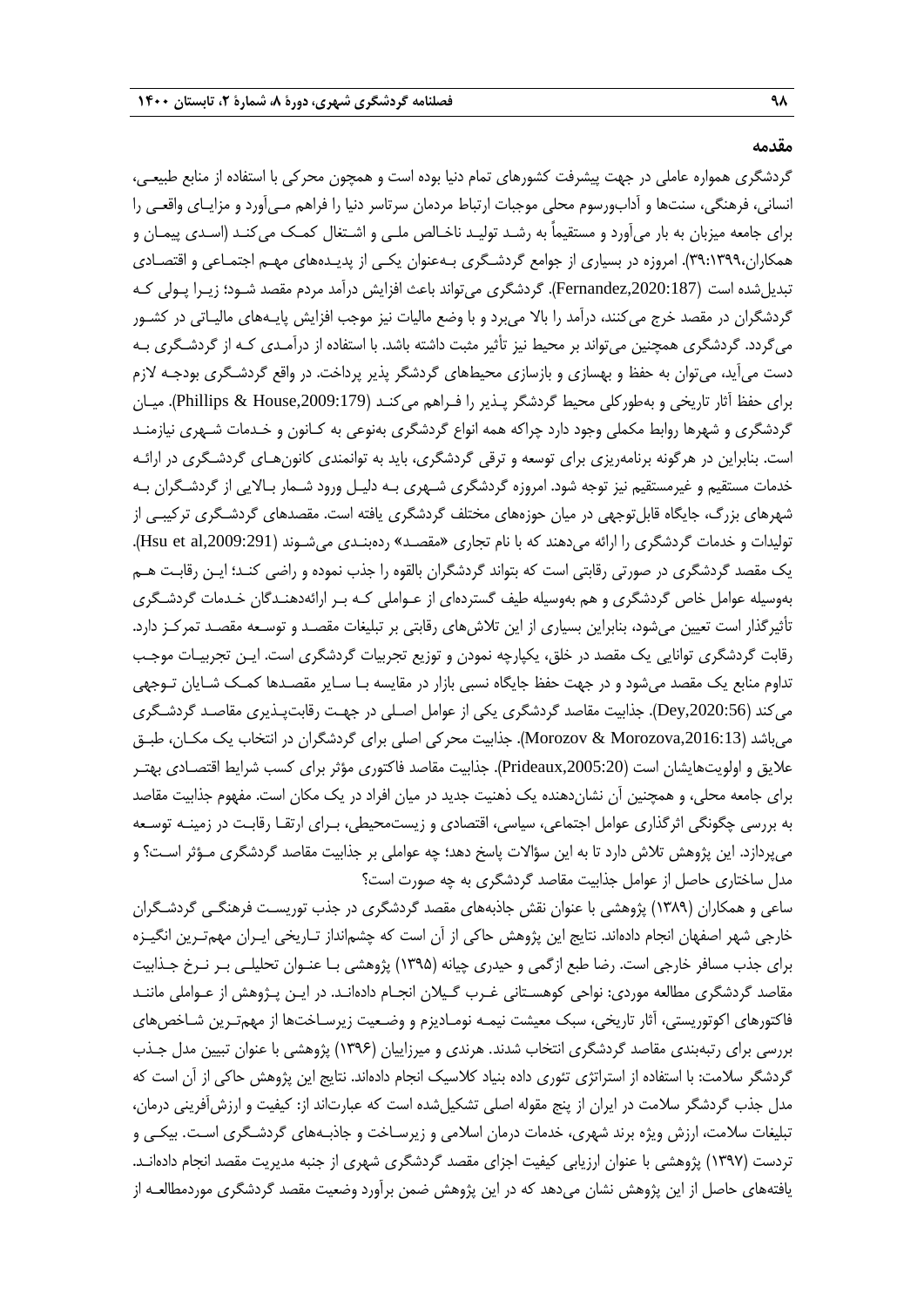#### **مقدمه**

گردشگری همواره عاملی در جهت پیشرفت کشورهای تمام دنیا بوده است و همچون محرکی با استفاده از منابع طبیعـی، انسانی، فرهنگی، سنتها و آدابورسوم محلی موجبات ارتباط مردمان سرتاسر دنیا را فراهم مـیآورد و مزایـای واقعـی را برای جامعه میزبان به بار میآورد و مستقیماً به رشـد تولیـد ناخـالص ملـی و اشـتغال کمـک میکنـد )اسـدی پیمـان و همکاران،٣٩:١٣٩٩). امروزه در بسیاری از جوامع گردشـگری بـهعنوان یکـی از پدیـدههای مهـم اجتمـاعی و اقتصـادی تبدیلشده است (Fernandez,2020:187). گردشگری میتواند باعث افزایش درآمد مردم مقصد شـود؛ زیـرا پـولی کـه گردشگران در مقصد خرج میکنند، درآمد را باال میبرد و با وضع مالیات نیز موجب افزایش پایـههای مالیـاتی در کشـور میگردد. گردشگری همچنین میتواند بر محیط نیز تأثیر مثبت داشته باشد. با استفاده از درآمـدی کـه از گردشـگری بـه دست میآید، میتوان به حفظ و بهسازی و بازسازی محیطهای گردشگر پذیر پرداخت. در واقع گردشـگری بودجـه لازم برای حفظ آثار تاریخی و بهطورکلی محیط گردشگر پـذیر را فـراهم میکنـد (Phillips & House,2009:179). میـان گردشگری و شهرها روابط مکملی وجود دارد چراکه همه انواع گردشگری بهنوعی به کـانون و خـدمات شـهری نیازمنـد است. بنابراین در هرگونه برنامهریزی برای توسعه و ترقی گردشگری، باید به توانمندی کانونهـای گردشـگری در ارائـه خدمات مستقیم و غیرمستقیم نیز توجه شود. امروزه گردشگری شـهری بـه دلیـل ورود شـمار بـاالیی از گردشـگران بـه شهرهای بزرگ، جایگاه قابلتوجهی در میان حوزههای مختلف گردشگری یافته است. مقصدهای گردشـگری ترکیبـی از تولیدات و خدمات گردشگری را ارائه می دهند که با نام تجاری «مقصـد» ردهبنـدی میشـوند (Hsu et al,2009:291). یک مقصد گردشگری در صورتی رقابتی است که بتواند گردشگران بالقوه را جذب نموده و راضی کنـد؛ ایـن رقابـت هـم بهوسیله عوامل خاص گردشگری و هم بهوسیله طیف گستردهای از عـواملی کـه بـر ارائهدهنـدگان خـدمات گردشـگری تأثیرگذار است تعیین میشود، بنابراین بسیاری از این تالشهای رقابتی بر تبلیغات مقصـد و توسـعه مقصـد تمرکـز دارد. رقابت گردشگری توانایی یک مقصد در خلق، یکپارچه نمودن و توزیع تجربیات گردشگری است. ایـن تجربیـات موجـب تداوم منابع یک مقصد میشود و در جهت حفظ جایگاه نسبی بازار در مقایسه بـا سـایر مقصـدها کمـک شـایان تـوجهی میکند ),2020:56Dey). جذابیت مقاصد گردشگری یکی از عوامل اصـلی در جهـت رقابتپـذیری مقاصـد گردشـگری میباشد ),2016:13Morozova & Morozov). جذابیت محرکی اصلی برای گردشگران در انتخاب یک مکـان، طبـق علایق و اولویتهایشان است (Prideaux,2005:20). جذابیت مقاصد فاکتوری مؤثر برای کسب شرایط اقتصـادی بهتـر برای جامعه محلی، و همچنین آن نشاندهنده یک ذهنیت جدید در میان افراد در یک مکان است. مفهوم جذابیت مقاصد به بررسی چگونگی اثرگذاری عوامل اجتماعی، سیاسی، اقتصادی و زیستمحیطی، بـرای ارتقـا رقابـت در زمینـه توسـعه میپردازد. این پژوهش تالش دارد تا به این سؤاالت پاسخ دهد؛ چه عواملی بر جذابیت مقاصد گردشگری مـؤثر اسـت؟ و مدل ساختاری حاصل از عوامل جذابیت مقاصد گردشگری به چه صورت است؟

ساعی و همکاران )0313( پژوهشی با عنوان نقش جاذبههای مقصد گردشگری در جذب توریسـت فرهنگـی گردشـگران خارجی شهر اصفهان انجام دادهاند. نتایج این پژوهش حاکی از آن است که چشمانداز تـاریخی ایـران مهمتـرین انگیـزه برای جذب مسافر خارجی است. رضا طبع ازگمی و حیدری چیانه )0332( پژوهشی بـا عنـوان تحلیلـی بـر نـرخ جـذابیت مقاصد گردشگری مطالعه موردی: نواحی کوهسـتانی غـرب گـیالن انجـام دادهانـد. در ایـن پـژوهش از عـواملی ماننـد فاکتورهای اکوتوریستی، آثار تاریخی، سبک معیشت نیمـه نومـادیزم و وضـعیت زیرسـاختها از مهمتـرین شـاخصهای بررسی برای رتبهبندی مقاصد گردشگری انتخاب شدند. هرندی و میرزاییان )0331( پژوهشی با عنوان تبیین مدل جـذب گردشگر سالمت: با استفاده از استراتژی تئوری داده بنیاد کالسیک انجام دادهاند. نتایج این پژوهش حاکی از آن است که مدل جذب گردشگر سالمت در ایران از پنج مقوله اصلی تشکیلشده است که عبارتاند از: کیفیت و ارزشآفرینی درمان، تبلیغات سالمت، ارزش ویژه برند شهری، خدمات درمان اسالمی و زیرسـاخت و جاذبـههای گردشـگری اسـت. بیکـی و تردست )0337( پژوهشی با عنوان ارزیابی کیفیت اجزای مقصد گردشگری شهری از جنبه مدیریت مقصد انجام دادهانـد. یافتههای حاصل از این پژوهش نشان میدهد که در این پژوهش ضمن برآورد وضعیت مقصد گردشگری موردمطالعـه از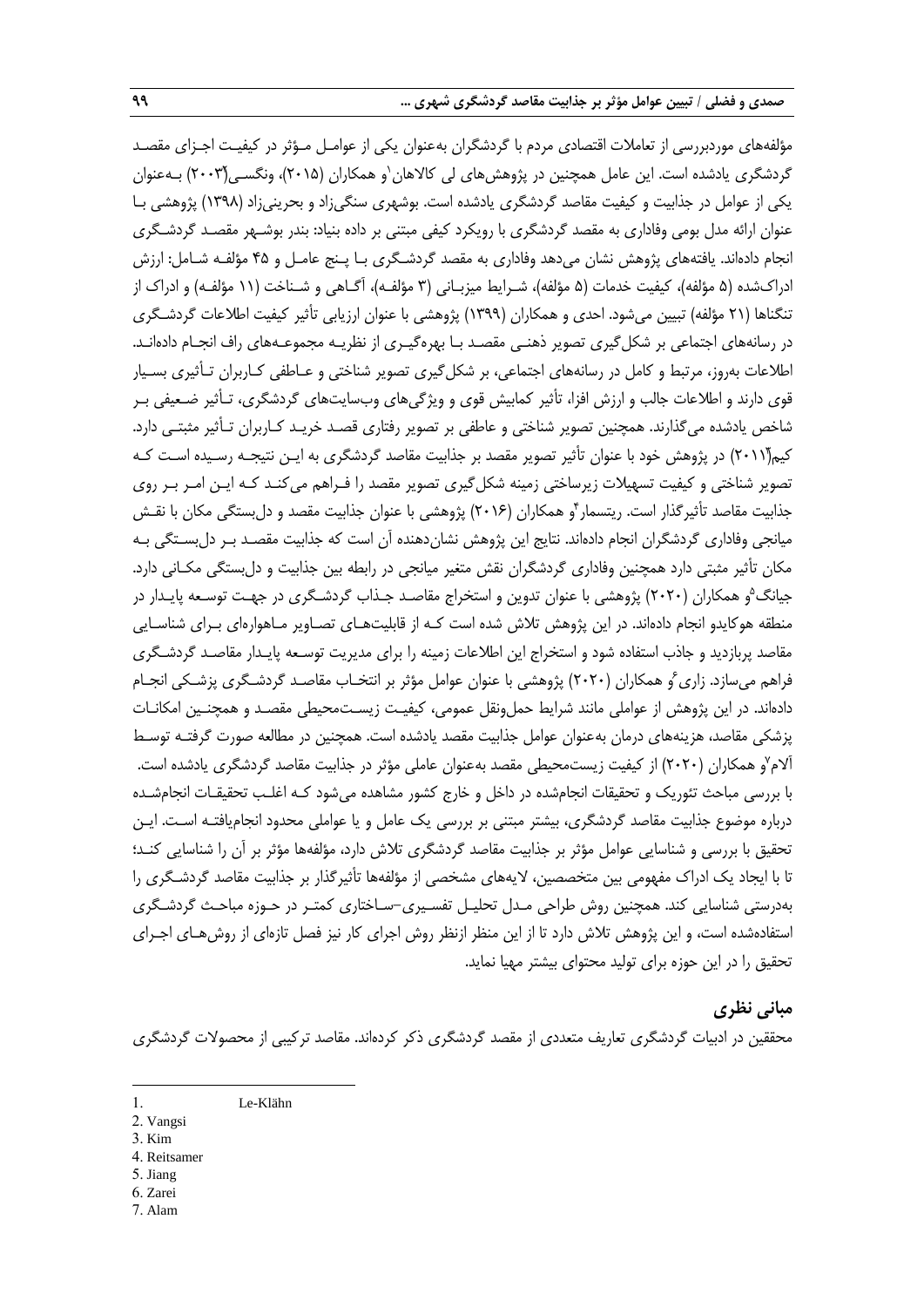مؤلفههای موردبررسی از تعامالت اقتصادی مردم با گردشگران بهعنوان یکی از عوامـل مـؤثر در کیفیـت اجـزای مقصـد گردشگری یادشده است. این عامل همچنین در پژوهشهای لی کالاهان`و همکاران (۲۰۱۵)، ونگسـی(۲۰۰۳) بــهعنوان یکی از عوامل در جذابیت و کیفیت مقاصد گردشگری یادشده است. بوشهری سنگیزاد و بحرینیزاد )0331( پژوهشی بـا عنوان ارائه مدل بومی وفاداری به مقصد گردشگری با رویکرد کیفی مبتنی بر داده بنیاد: بندر بوشـهر مقصـد گردشـگری انجام دادهاند. یافتههای پژوهش نشان میدهد وفاداری به مقصد گردشـگری بـا پـنج عامـل و 12 مؤلفـه شـامل: ارزش ادراكشده (۵ مؤلفه)، كیفیت خدمات (۵ مؤلفه)، شـرایط میزبـانی (۳ مؤلفـه)، آگـاهی و شـناخت (۱۱ مؤلفـه) و ادراک از تنگناها (٢١ مؤلفه) تبیین می شود. احدی و همکاران (١٣٩٩) پژوهشی با عنوان ارزیابی تأثیر کیفیت اطلاعات گردشـگری در رسانههای اجتماعی بر شکلگیری تصویر ذهنـی مقصـد بـا بهرهگیـری از نظریـه مجموعـههای راف انجـام دادهانـد. اطلاعات بهروز، مرتبط و کامل در رسانههای اجتماعی، بر شکل گیری تصویر شناختی و عـاطفی کـاربران تـأثیری بسـیار قوی دارند و اطالعات جالب و ارزش افزا، تأثیر کمابیش قوی و ویژگیهای وبسایتهای گردشگری، تـأثیر ضـعیفی بـر شاخص یادشده میگذارند. همچنین تصویر شناختی و عاطفی بر تصویر رفتاری قصـد خریـد کـاربران تـأثیر مثبتـی دارد. کیم(۲۰۱۱) در پژوهش خود با عنوان تأثیر تصویر مقصد بر جذابیت مقاصد گردشگری به ایـن نتیجـه رسـیده اسـت کـه تصویر شناختی و کیفیت تسهیالت زیرساختی زمینه شکلگیری تصویر مقصد را فـراهم میکنـد کـه ایـن امـر بـر روی جذابیت مقاصد تأثیرگذار است. ریتسمار ٔو همکاران (۲۰۱۶) پژوهشی با عنوان جذابیت مقصد و دلبستگی مکان با نقـش میانجی وفاداری گردشگران انجام دادهاند. نتایج این پژوهش نشاندهنده آن است که جذابیت مقصـد بـر دلبسـتگی بـه مکان تأثیر مثبتی دارد همچنین وفاداری گردشگران نقش متغیر میانجی در رابطه بین جذابیت و دلبستگی مکـانی دارد. 2 جیانگ و همکاران )5151( پژوهشی با عنوان تدوین و استخراج مقاصـد جـذاب گردشـگری در جهـت توسـعه پایـدار در منطقه هوکایدو انجام دادهاند. در این پژوهش تالش شده است کـه از قابلیتهـای تصـاویر مـاهوارهای بـرای شناسـایی مقاصد پربازدید و جاذب استفاده شود و استخراج این اطالعات زمینه را برای مدیریت توسـعه پایـدار مقاصـد گردشـگری فراهم میسازد. زاری ٔو همکاران (۲۰۲۰) پژوهشی با عنوان عوامل مؤثر بر انتخـاب مقاصـد گردشـگری پزشـکی انجـام دادهاند. در این پژوهش از عواملی مانند شرایط حملونقل عمومی، کیفیـت زیسـتمحیطی مقصـد و همچنـین امکانـات پزشکی مقاصد، هزینههای درمان بهعنوان عوامل جذابیت مقصد یادشده است. همچنین در مطالعه صورت گرفتـه توسـ آلام٬(و همکاران (۲۰۲۰) از کیفیت زیستمحیطی مقصد بهعنوان عاملی مؤثر در جذابیت مقاصد گردشگری یادشده است. با بررسی مباحث تئوریک و تحقیقات انجامشده در داخل و خارج کشور مشاهده می شود کـه اغلـب تحقیقـات انجامشـده درباره موضوع جذابیت مقاصد گردشگری، بیشتر مبتنی بر بررسی یک عامل و یا عواملی محدود انجامیافتـه اسـت. ایـن تحقیق با بررسی و شناسایی عوامل مؤثر بر جذابیت مقاصد گردشگری تالش دارد، مؤلفهها مؤثر بر آن را شناسایی کنـد؛ تا با ایجاد یک ادراك مفهومی بین متخصصین، الیههای مشخصی از مؤلفهها تأثیرگذار بر جذابیت مقاصد گردشـگری را بهدرستی شناسایی کند. همچنین روش طراحی مـدل تحلیـل تفسـیری-سـاختاری کمتـر در حـوزه مباحـ گردشـگری استفادهشده است، و این پژوهش تالش دارد تا از این منظر ازنظر روش اجرای کار نیز فصل تازهای از روشهـای اجـرای تحقیق را در این حوزه برای تولید محتوای بیشتر مهیا نماید.

# **مبانی نظری**

محققین در ادبیات گردشگری تعاریف متعددی از مقصد گردشگری ذکر کردهاند. مقاصد ترکیبی از محصوالت گردشگری

3. Kim

-

- 4. Reitsamer
- 5. Jiang
- 6. Zarei 7. Alam

<sup>1</sup>. Le-Klähn

<sup>2</sup>. Vangsi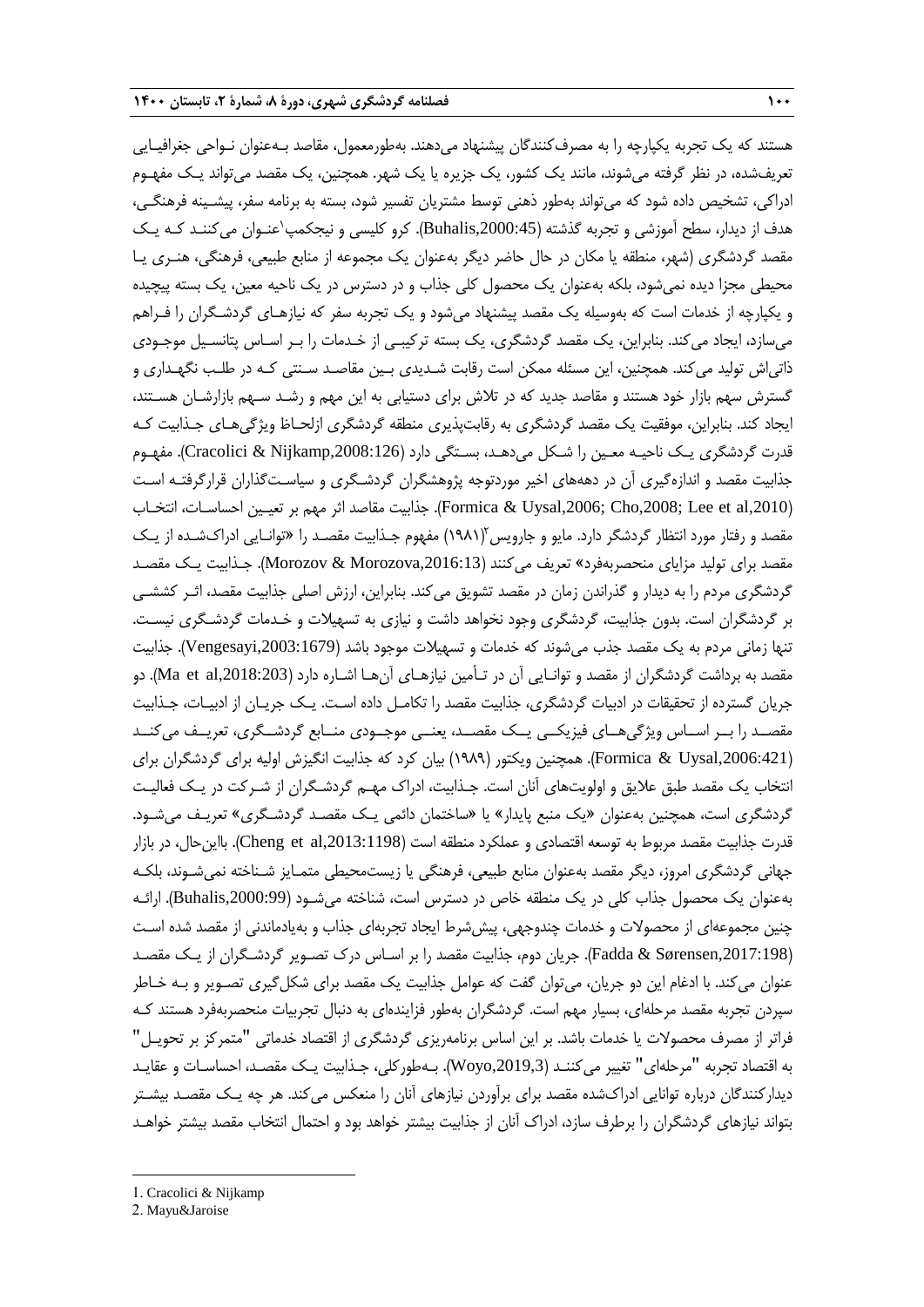هستند که یک تجربه یکپارچه را به مصرفکنندگان پیشنهاد میدهند. بهطورمعمول، مقاصد بـهعنوان نـواحی جغرافیـایی تعریفشده، در نظر گرفته میشوند، مانند یک کشور، یک جزیره یا یک شهر. همچنین، یک مقصد میتواند یـک مفهـوم ادراکی، تشخیص داده شود که میتواند بهطور ذهنی توسط مشتریان تفسیر شود، بسته به برنامه سفر، پیشـینه فرهنگـی، هدف از دیدار، سطح آموزشی و تجربه گذشته (Buhalis,2000:45). کرو کلیسی و نیجکمپ'عنـوان می کننـد کـه یـک مقصد گردشگری (شهر، منطقه یا مکان در حال حاضر دیگر بهعنوان یک مجموعه از منابع طبیعی، فرهنگی، هنـری یـا محیطی مجزا دیده نمیشود، بلکه بهعنوان یک محصول کلی جذاب و در دسترس در یک ناحیه معین، یک بسته پیچیده و یکپارچه از خدمات است که بهوسیله یک مقصد پیشنهاد میشود و یک تجربه سفر که نیازهـای گردشـگران را فـراهم میسازد، ایجاد میکند. بنابراین، یک مقصد گردشگری، یک بسته ترکیبـی از خـدمات را بـر اسـاس پتانسـیل موجـودی ذاتیاش تولید میکند. همچنین، این مسئله ممکن است رقابت شـدیدی بـین مقاصـد سـنتی کـه در طلـب نگهـداری و گسترش سهم بازار خود هستند و مقاصد جدید که در تالش برای دستیابی به این مهم و رشـد سـهم بازارشـان هسـتند، ایجاد کند. بنابراین، موفقیت یک مقصد گردشگری به رقابتپذیری منطقه گردشگری ازلحـاظ ویژگیهـای جـذابیت کـه قدرت گردشگری یـک ناحیـه معـین را شـکل میدهـد، بسـتگی دارد (Cracolici & Nijkamp,2008:126). مفهـوم جذابیت مقصد و اندازهگیری آن در دهههای اخیر موردتوجه پژوهشگران گردشـگری و سیاسـتگذاران قرارگرفتـه اسـت ),2010al et Lee; ,2008Cho; ,2006Uysal & Formica). جذابیت مقاصد اثر مهم بر تعیـین احساسـات، انتخـاب مقصد و رفتار مورد انتظار گردشگر دارد. مایو و جارویس (۱۹۸۱) مفهوم جـذابیت مقصـد را «توانـایی ادراکشـده از یـک مقصد برای تولید مزایای منحصربهفرد« تعریف میکنند ),2016:13Morozova & Morozov). جـذابیت یـک مقصـد گردشگری مردم را به دیدار و گذراندن زمان در مقصد تشویق میکند. بنابراین، ارزش اصلی جذابیت مقصد، اثـر کششـی بر گردشگران است. بدون جذابیت، گردشگری وجود نخواهد داشت و نیازی به تسهیالت و خـدمات گردشـگری نیسـت. تنها زمانی مردم به یک مقصد جذب میشوند که خدمات و تسهیالت موجود باشد ),2003:1679Vengesayi). جذابیت مقصد به برداشت گردشگران از مقصد و توانـایی آن در تـأمین نیازهـای آنهـا اشـاره دارد ),2018:203al et Ma). دو جریان گسترده از تحقیقات در ادبیات گردشگری، جذابیت مقصد را تکامـل داده اسـت. یـک جریـان از ادبیـات، جـذابیت مقصــد را بــر اســاس ویژگیهــای فیزیکــی یــک مقصــد، یعنــی موجــودی منــابع گردشــگری، تعریــف میکنــد ),2006:421Uysal & Formica). همچنین ویکتور )0313( بیان کرد که جذابیت انگیزش اولیه برای گردشگران برای انتخاب یک مقصد طبق عالیق و اولویتهای آنان است. جـذابیت، ادراك مهـم گردشـگران از شـرکت در یـک فعالیـت گردشگری است، همچنین بهعنوان «یک منبع پایدار» یا «ساختمان دائمی یـک مقصـد گردشـگری» تعریـف میشـود. قدرت جذابیت مقصد مربوط به توسعه اقتصادی و عملکرد منطقه است (Cheng et al,2013:1198). بااین حال، در بازار جهانی گردشگری امروز، دیگر مقصد بهعنوان منابع طبیعی، فرهنگی یا زیستمحیطی متمـایز شـناخته نمیشـوند، بلکـه بهعنوان یک محصول جذاب کلی در یک منطقه خاص در دسترس است، شناخته میشـود ),2000:99Buhalis). ارائـه چنین مجموعهای از محصوالت و خدمات چندوجهی، پیششرط ایجاد تجربهای جذاب و بهیادماندنی از مقصد شده اسـت ),2017:198Sørensen & Fadda). جریان دوم، جذابیت مقصد را بر اسـاس درك تصـویر گردشـگران از یـک مقصـد عنوان میکند. با ادغام این دو جریان، میتوان گفت که عوامل جذابیت یک مقصد برای شکلگیری تصـویر و بـه خـاطر سپردن تجربه مقصد مرحلهای، بسیار مهم است. گردشگران بهطور فزایندهای به دنبال تجربیات منحصربهفرد هستند کـه فراتر از مصرف محصوالت یا خدمات باشد. بر این اساس برنامهریزی گردشگری از اقتصاد خدماتی "متمرکز بر تحویـل" به اقتصاد تجربه "مرحلهای" تغییر میکننـد ),2019,3Woyo). بـهطورکلی، جـذابیت یـک مقصـد، احساسـات و عقایـد دیدارکنندگان درباره توانایی ادراكشده مقصد برای برآوردن نیازهای آنان را منعکس میکند. هر چه یـک مقصـد بیشـتر بتواند نیازهای گردشگران را برطرف سازد، ادراك آنان از جذابیت بیشتر خواهد بود و احتمال انتخاب مقصد بیشتر خواهـد

1

<sup>2</sup>. Mayu&Jaroise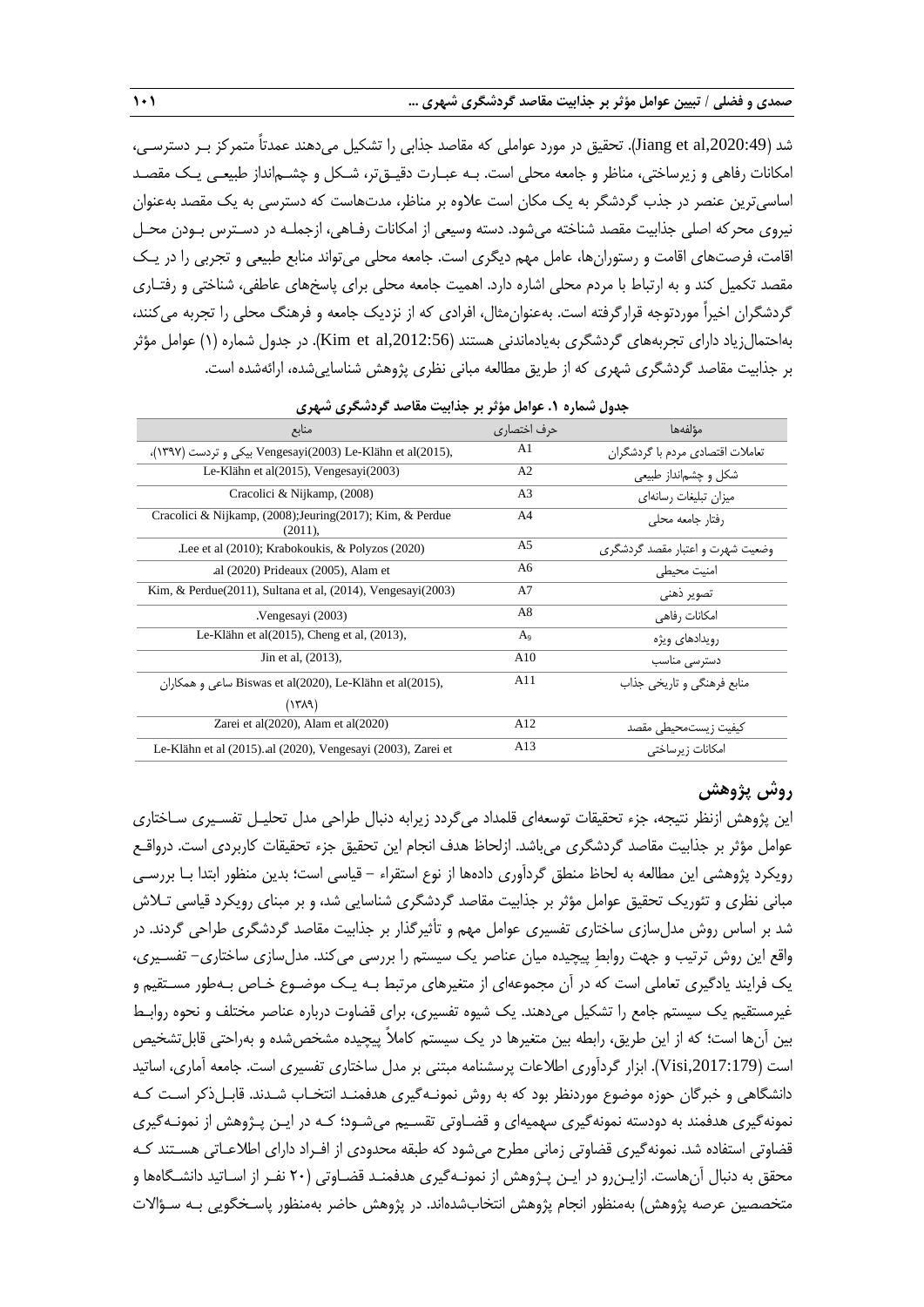شد ),2020:49al et Jiang). تحقیق در مورد عواملی که مقاصد جذابی را تشکیل میدهند عمدتاً متمرکز بـر دسترسـی، امکانات رفاهی و زیرساختی، مناظر و جامعه محلی است. بـه عبـارت دقیـقتر، شـکل و چشـمانداز طبیعـی یـک مقصـد اساسیترین عنصر در جذب گردشگر به یک مکان است عالوه بر مناظر، مدتهاست که دسترسی به یک مقصد بهعنوان نیروی محرکه اصلی جذابیت مقصد شناخته میشود. دسته وسیعی از امکانات رفـاهی، ازجملـه در دسـترس بـودن محـل اقامت، فرصتهای اقامت و رستورانها، عامل مهم دیگری است. جامعه محلی میتواند منابع طبیعی و تجربی را در یـک مقصد تکمیل کند و به ارتباط با مردم محلی اشاره دارد. اهمیت جامعه محلی برای پاسخهای عاطفی، شناختی و رفتـاری گردشگران اخیراً موردتوجه قرارگرفته است. بهعنوانمثال، افرادی که از نزدیک جامعه و فرهنگ محلی را تجربه میکنند، بهاحتمالزیاد دارای تجربههای گردشگری بهیادماندنی هستند ),2012:56al et Kim). در جدول شماره )0( عوامل مؤثر بر جذابیت مقاصد گردشگری شهری که از طریق مطالعه مبانی نظری پژوهش شناساییشده، ارائهشده است.

| جدون ستدره ۰٫۰ خواش موتر بر جدابیت متابعت ترتشخری شهری                     |                |                                  |  |  |  |  |  |  |
|----------------------------------------------------------------------------|----------------|----------------------------------|--|--|--|--|--|--|
| منابع                                                                      | حرف اختصاری    | مؤلفهها                          |  |  |  |  |  |  |
| .(١٣٩٧) De-Klähn et al بیکی و تردست Vengesayi(2003) Le-Klähn et al (2015), | A <sub>1</sub> | تعاملات اقتصادي مردم با گردشگران |  |  |  |  |  |  |
| Le-Klähn et al $(2015)$ , Vengesayi $(2003)$                               | A <sub>2</sub> | شکل و چشمانداز طبیعی             |  |  |  |  |  |  |
| Cracolici & Nijkamp, (2008)                                                | A <sub>3</sub> | میزان تبلیغات رسانهای            |  |  |  |  |  |  |
| Cracolici & Nijkamp, (2008); Jeuring (2017); Kim, & Perdue<br>$(2011)$ ,   | A <sup>4</sup> | رفتار حامعه محلى                 |  |  |  |  |  |  |
| Lee et al (2010); Krabokoukis, & Polyzos (2020).                           | A5             | وضعیت شهرت و اعتبار مقصد گردشگری |  |  |  |  |  |  |
| .al (2020) Prideaux (2005), Alam et                                        | A6             | امنيت محيطى                      |  |  |  |  |  |  |
| $Kim, & Perdue(2011), Sultana et al, (2014), Vengesayi(2003)$              | A7             | تصوير ذهني                       |  |  |  |  |  |  |
| Vengesayi (2003).                                                          | A8             | امکانات ,فاهے ِ                  |  |  |  |  |  |  |
| Le-Klähn et al(2015), Cheng et al, (2013),                                 | $A_9$          | رویدادها <i>ی</i> ویژه           |  |  |  |  |  |  |
| Jin et al, (2013),                                                         | A10            | دسترسی مناسب                     |  |  |  |  |  |  |
| ساعی و همکاران Biswas et al(2020), Le-Klähn et al(2015),                   | A11            | منابع فرهنگی و تاریخی جذاب       |  |  |  |  |  |  |
| (1719)                                                                     |                |                                  |  |  |  |  |  |  |
| Zarei et al $(2020)$ , Alam et al $(2020)$                                 | A12            | كيفيت زيستمحيطى مقصد             |  |  |  |  |  |  |
| Le-Klähn et al (2015). al (2020), Vengesayi (2003), Zarei et               | A13            | امكانات زيرساختى                 |  |  |  |  |  |  |
|                                                                            |                |                                  |  |  |  |  |  |  |

| جدول شماره ۱. عوامل مؤثر بر جذابیت مقاصد گردشگری شهری |  |  |  |
|-------------------------------------------------------|--|--|--|
|-------------------------------------------------------|--|--|--|

# **روش پژوهش**

این پژوهش ازنظر نتیجه، جزه تحقیقات توسعهای قلمداد میگردد زیرابه دنبال طراحی مدل تحلیـل تفسـیری سـاختاری عوامل مؤثر بر جذابیت مقاصد گردشگری میباشد. ازلحاظ هدف انجام این تحقیق جزه تحقیقات کاربردی است. درواقـع رویکرد پژوهشی این مطالعه به لحاظ منطق گردآوری دادهها از نوع استقراه - قیاسی است؛ بدین منظور ابتدا بـا بررسـی مبانی نظری و تئوریک تحقیق عوامل مؤثر بر جذابیت مقاصد گردشگری شناسایی شد، و بر مبنای رویکرد قیاسی تـالش شد بر اساس روش مدلسازی ساختاری تفسیری عوامل مهم و تأثیرگذار بر جذابیت مقاصد گردشگری طراحی گردند. در واقع این روش ترتیب و جهت روابط پیچیده میان عناصر یک سیستم را بررسی می کند. مدلسازی ساختاری– تفسـیری، یک فرایند یادگیری تعاملی است که در آن مجموعهای از متغیرهای مرتبط بـه یـک موضـوع خـاص بـهطور مسـتقیم و غیرمستقیم یک سیستم جامع را تشکیل میدهند. یک شیوه تفسیری، برای قضاوت درباره عناصر مختلف و نحوه روابـ بین آنها است؛ که از این طریق، رابطه بین متغیرها در یک سیستم کامالً پیچیده مشخصشده و بهراحتی قابلتشخیص است ),2017:179Visi). ابزار گردآوری اطالعات پرسشنامه مبتنی بر مدل ساختاری تفسیری است. جامعه آماری، اساتید دانشگاهی و خبرگان حوزه موضوع موردنظر بود که به روش نمونـهگیری هدفمنـد انتخـاب شـدند. قابـلذکر اسـت کـه نمونهگیری هدفمند به دودسته نمونهگیری سهمیهای و قضـاوتی تقسـیم میشـود؛ کـه در ایـن پـژوهش از نمونـهگیری قضاوتی استفاده شد. نمونهگیری قضاوتی زمانی مطرح میشود که طبقه محدودی از افـراد دارای اطالعـاتی هسـتند کـه محقق به دنبال آنهاست. ازایـنرو در ایـن پـژوهش از نمونـهگیری هدفمنـد قضـاوتی )51 نفـر از اسـاتید دانشـگاهها و متخصصین عرصه پژوهش) بهمنظور انجام پژوهش انتخابشدهاند. در پژوهش حاضر بهمنظور پاسـخگویی بـه سـؤالات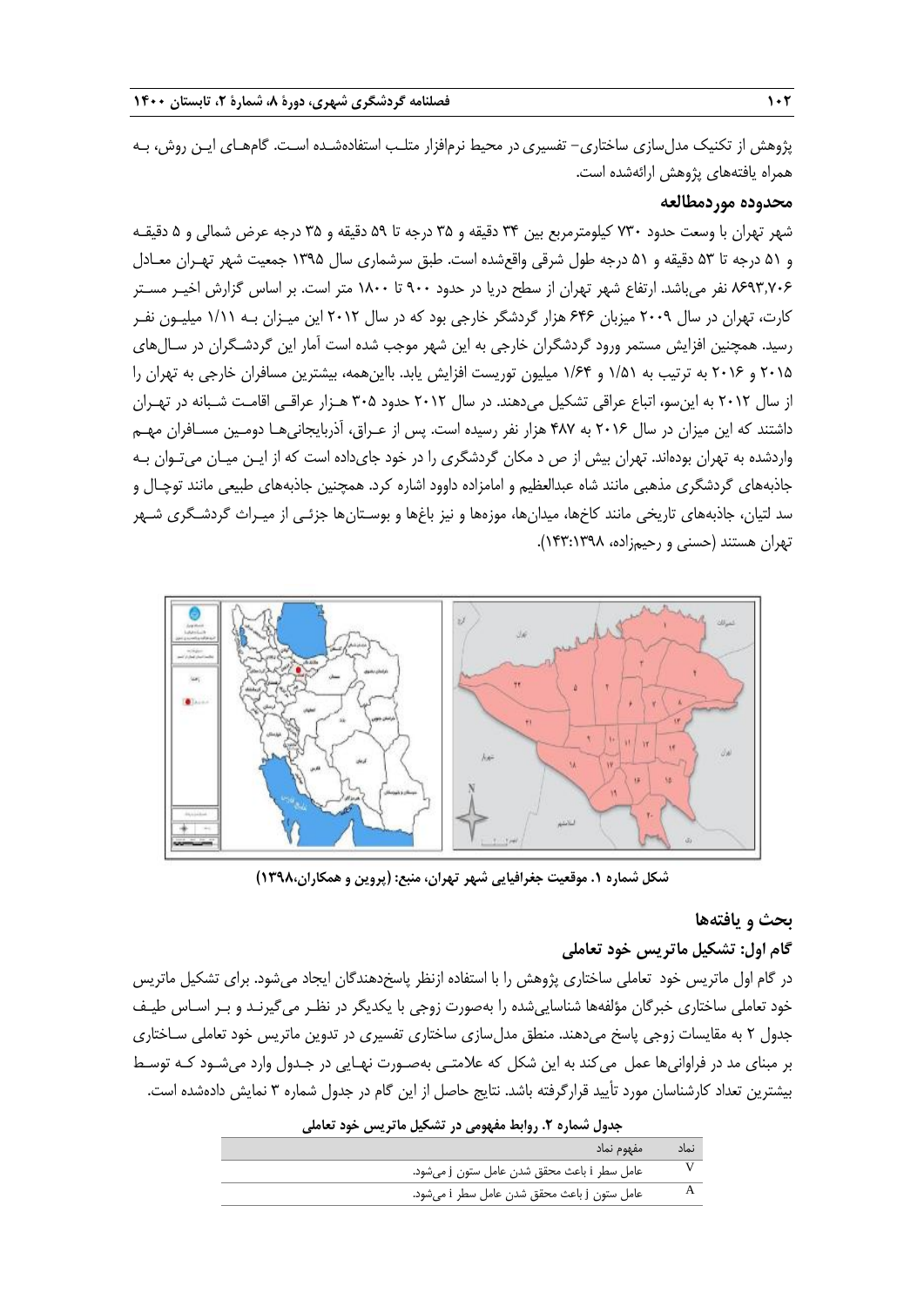پژوهش از تکنیک مدلسازی ساختاری- تفسیری در محیط نرمافزار متلـب استفادهشـده اسـت. گامهـای ایـن روش، بـه همراه یافتههای پژوهش ارائهشده است.

#### **محدوده موردمطالعه**

شهر تهران با وسعت حدود 731 کیلومترمربع بین 31 دقیقه و 32 درجه تا 23 دقیقه و 32 درجه عرض شمالی و 2 دقیقـه و 20 درجه تا 23 دقیقه و 20 درجه طول شرقی واقعشده است. طبق سرشماری سال 0332 جمعیت شهر تهـران معـادل 1133٫711 نفر میباشد. ارتفاع شهر تهران از سطح دریا در حدود 311 تا 0111 متر است. بر اساس گزارش اخیـر مسـتر کارت، تهران در سال 5113 میزبان 111 هزار گردشگر خارجی بود که در سال 5105 این میـزان بـه 0/00 میلیـون نفـر رسید. همچنین افزایش مستمر ورود گردشگران خارجی به این شهر موجب شده است آمار این گردشـگران در سـالهای 5102 و 5101 به ترتیب به 0/20 و 0/11 میلیون توریست افزایش یابد. بااینهمه، بیشترین مسافران خارجی به تهران را از سال 5105 به اینسو، اتباع عراقی تشکیل میدهند. در سال 5105 حدود 312 هـزار عراقـی اقامـت شـبانه در تهـران داشتند که این میزان در سال 5101 به 117 هزار نفر رسیده است. پس از عـراق، آذربایجانیهـا دومـین مسـافران مهـم واردشده به تهران بودهاند. تهران بیش از ص د مکان گردشگری را در خود جایداده است که از ایـن میـان میتـوان بـه جاذبههای گردشگری مذهبی مانند شاه عبدالعظیم و امامزاده داوود اشاره کرد. همچنین جاذبههای طبیعی مانند توچـال و سد لتیان، جاذبههای تاریخی مانند کاخها، میدانها، موزهها و نیز بایها و بوسـتانها جزئـی از میـراث گردشـگری شـهر تهران هستند (حسنی و رحیمزاده، ۱۳۳:۱۳۹۸).



**شکل شماره .1 موقعیت جغرافیایی شهر تهران، منبع: )پروین و همکاران1398،(**

# **بحث و یافتهها**

# **گام اول: تشکیل ماتریس خود تعاملی**

در گام اول ماتریس خود تعاملی ساختاری پژوهش را با استفاده ازنظر پاسخدهندگان ایجاد میشود. برای تشکیل ماتریس خود تعاملی ساختاری خبرگان مؤلفهها شناساییشده را بهصورت زوجی با یکدیگر در نظـر میگیرنـد و بـر اسـاس طیـف جدول 5 به مقایسات زوجی پاسخ میدهند. منطق مدلسازی ساختاری تفسیری در تدوین ماتریس خود تعاملی سـاختاری بر مبنای مد در فراوانیها عمل میکند به این شکل که عالمتـی بهصـورت نهـایی در جـدول وارد میشـود کـه توسـ بیشترین تعداد کارشناسان مورد تأیید قرارگرفته باشد. نتایج حاصل از این گام در جدول شماره 3 نمایش دادهشده است.

| جدول شماره ۲. روابط مفهومی در تشکیل ماتریس خود تعاملی |      |
|-------------------------------------------------------|------|
| مفهوم نماد                                            | نماد |
| عامل سطر i باعث محقق شدن عامل ستون j مى شود.          |      |
| عامل ستون j باعث محقق شدن عامل سطر i می شود.          |      |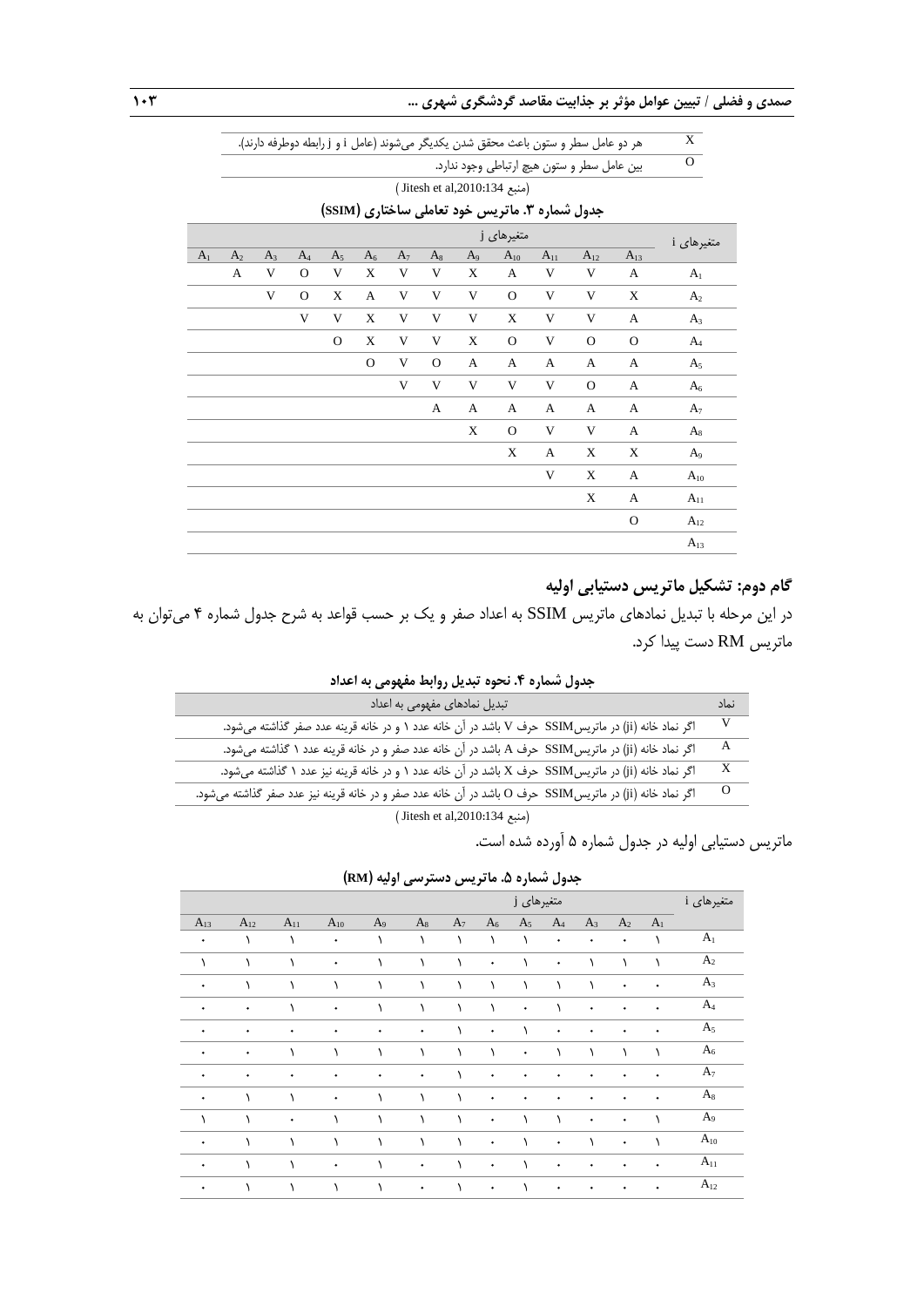|                |                |       |              |                |              |       |              |                |                                                |          | هر دو عامل سطر و ستون باعث محقق شدن يكديگر مى شوند (عامل j و j رابطه دوطرفه دارند). |                | $\overline{X}$ |
|----------------|----------------|-------|--------------|----------------|--------------|-------|--------------|----------------|------------------------------------------------|----------|-------------------------------------------------------------------------------------|----------------|----------------|
|                |                |       |              |                |              |       |              |                |                                                |          | بین عامل سطر و ستون هیچ ارتباطی وجود ندارد.                                         |                | $\overline{O}$ |
|                |                |       |              |                |              |       |              |                | (منبع 134:10:10:134) (Jitesh et al             |          |                                                                                     |                |                |
|                |                |       |              |                |              |       |              |                | جدول شماره ۳. ماتریس خود تعاملی ساختاری (SSIM) |          |                                                                                     |                |                |
|                |                |       |              |                |              |       |              |                | متغیرهای j                                     |          |                                                                                     |                | متغیرهای i     |
| A <sub>1</sub> | A <sub>2</sub> | $A_3$ | $A_4$        | A <sub>5</sub> | $A_6$        | $A_7$ | $A_8$        | A <sub>9</sub> | $A_{10}$                                       | $A_{11}$ | $A_{12}$                                                                            | $A_{13}$       |                |
|                | A              | V     | $\mathcal O$ | V              | X            | V     | V            | X              | A                                              | V        | V                                                                                   | A              | A <sub>1</sub> |
|                |                | V     | $\mathbf{O}$ | X              | A            | V     | V            | V              | $\mathbf{O}$                                   | V        | V                                                                                   | X              | A <sub>2</sub> |
|                |                |       | V            | V              | $\mathbf X$  | V     | V            | V              | X                                              | V        | V                                                                                   | A              | $A_3$          |
|                |                |       |              | $\mathbf O$    | $\mathbf X$  | V     | V            | X              | $\mathbf{O}$                                   | V        | $\Omega$                                                                            | $\Omega$       | $A_4$          |
|                |                |       |              |                | $\mathbf{O}$ | V     | $\mathbf{O}$ | A              | A                                              | A        | A                                                                                   | A              | A <sub>5</sub> |
|                |                |       |              |                |              | V     | V            | V              | V                                              | V        | $\mathbf O$                                                                         | A              | $A_6$          |
|                |                |       |              |                |              |       | A            | A              | A                                              | A        | A                                                                                   | A              | A <sub>7</sub> |
|                |                |       |              |                |              |       |              | X              | $\mathbf{O}$                                   | V        | V                                                                                   | A              | $A_8$          |
|                |                |       |              |                |              |       |              |                | X                                              | A        | X                                                                                   | X              | A <sub>9</sub> |
|                |                |       |              |                |              |       |              |                |                                                | V        | X                                                                                   | A              | $A_{10}$       |
|                |                |       |              |                |              |       |              |                |                                                |          | X                                                                                   | $\overline{A}$ | $A_{11}$       |
|                |                |       |              |                |              |       |              |                |                                                |          |                                                                                     | $\mathbf O$    | $A_{12}$       |
|                |                |       |              |                |              |       |              |                |                                                |          |                                                                                     |                | $A_{13}$       |

# **گام دوم: تشکیل ماتریس دستیابی اولیه**

در این مرحله با تبدیل نمادهای ماتریس SSIM به اعداد صفر و یک بر حسب قواعد به شرح جدول شماره 1 میتوان به ماتریس RM دست پیدا کرد.

**جدول شماره .4 نحوه تبدیل روابط مفهومی به اعداد**

| تبدیل نمادهای مفهومی به اعداد                                                                            | نماد     |
|----------------------------------------------------------------------------------------------------------|----------|
| اگر نماد خانه (ji) در ماتریس SSIM حرف V باشد در آن خانه عدد ۱ و در خانه قرینه عدد صفر گذاشته میشود.      | V        |
| اگر نماد خانه (ji) در ماتریس SSIM حرف A باشد در آن خانه عدد صفر و در خانه قرینه عدد ۱ گذاشته میشود.      | A        |
| اگر نماد خانه (ji) در ماتریس SSIM حرف X باشد در آن خانه عدد ۱ و در خانه قرینه نیز عدد ۱ گذاشته میشود.    | X        |
| اگر نماد خانه (ji) در ماتریسSSIM حرف O باشد در آن خانه عدد صفر و در خانه قرینه نیز عدد صفر گذاشته میشود. | $\Omega$ |
|                                                                                                          |          |

) Jitesh et al,2010:134 منبع)

ماتریس دستیابی اولیه در جدول شماره 2 آورده شده است.

**جدول شماره .5 ماتریس دسترسی اولیه )RM)**

|           |           |           |           |                |           |           |           |            | - -       |           |                |                |                |
|-----------|-----------|-----------|-----------|----------------|-----------|-----------|-----------|------------|-----------|-----------|----------------|----------------|----------------|
|           |           |           |           |                |           |           |           | متغیرهای j |           |           |                |                | متغیرهای i     |
| $A_{13}$  | $A_{12}$  | $A_{11}$  | $A_{10}$  | A <sub>9</sub> | $A_8$     | $A_7$     | $A_6$     | $A_5$      | $A_4$     | $A_3$     | A <sub>2</sub> | A <sub>1</sub> |                |
| ۰         |           |           | ۰         |                | ١         | ١         | $\lambda$ | ١          | ۰         | ٠         | ۰              |                | A <sub>1</sub> |
| ١         | ١         | ١         | ٠         | $\lambda$      | $\lambda$ | $\lambda$ | $\bullet$ | $\lambda$  | $\bullet$ |           | ١              |                | $A_2$          |
| $\bullet$ | ١         |           |           | ١              | $\lambda$ | $\lambda$ | $\lambda$ | ١          | ١         |           | ۰              | ۰              | $A_3$          |
| ۰         | ۰         |           | ۰         | $\lambda$      | ١         | $\lambda$ | $\lambda$ | ٠          | ١         | ٠         | ۰              |                | $A_4$          |
| ۰         | ٠         | $\bullet$ | ٠         | $\bullet$      | $\bullet$ | $\lambda$ | $\bullet$ | $\lambda$  | $\bullet$ | $\bullet$ | $\bullet$      | ۰              | A <sub>5</sub> |
| ٠         | $\bullet$ | ١         | $\lambda$ | $\lambda$      | $\lambda$ | $\lambda$ | $\lambda$ | $\bullet$  | ١         |           | ١              |                | $A_6$          |
| ٠         | ۰         | ۰         | ۰         | ۰              | ۰         | ١         | $\bullet$ | ۰          | ۰         | ٠         | ٠              |                | A <sub>7</sub> |
| ٠         | $\lambda$ |           | ۰         | ١              | ١         | $\lambda$ | $\bullet$ | ٠          | ۰         | ٠         | ۰              | ٠              | $A_8$          |
| ١         | $\lambda$ | $\bullet$ | $\lambda$ | $\lambda$      | $\lambda$ | $\lambda$ | $\bullet$ | $\lambda$  | ١         | $\bullet$ | ۰              |                | A <sub>9</sub> |
| ۰         |           |           |           |                |           | ١         | ۰         |            | ۰         |           | ۰              |                | $A_{10}$       |
| ٠         |           |           | ٠         |                | ٠         |           | ٠         |            | ۰         |           |                |                | $A_{11}$       |
| ۰         | $\lambda$ | ١         | ١         | $\lambda$      | ۰         | $\lambda$ | ۰         |            | ۰         | ۰         | ۰              | ۰              | $A_{12}$       |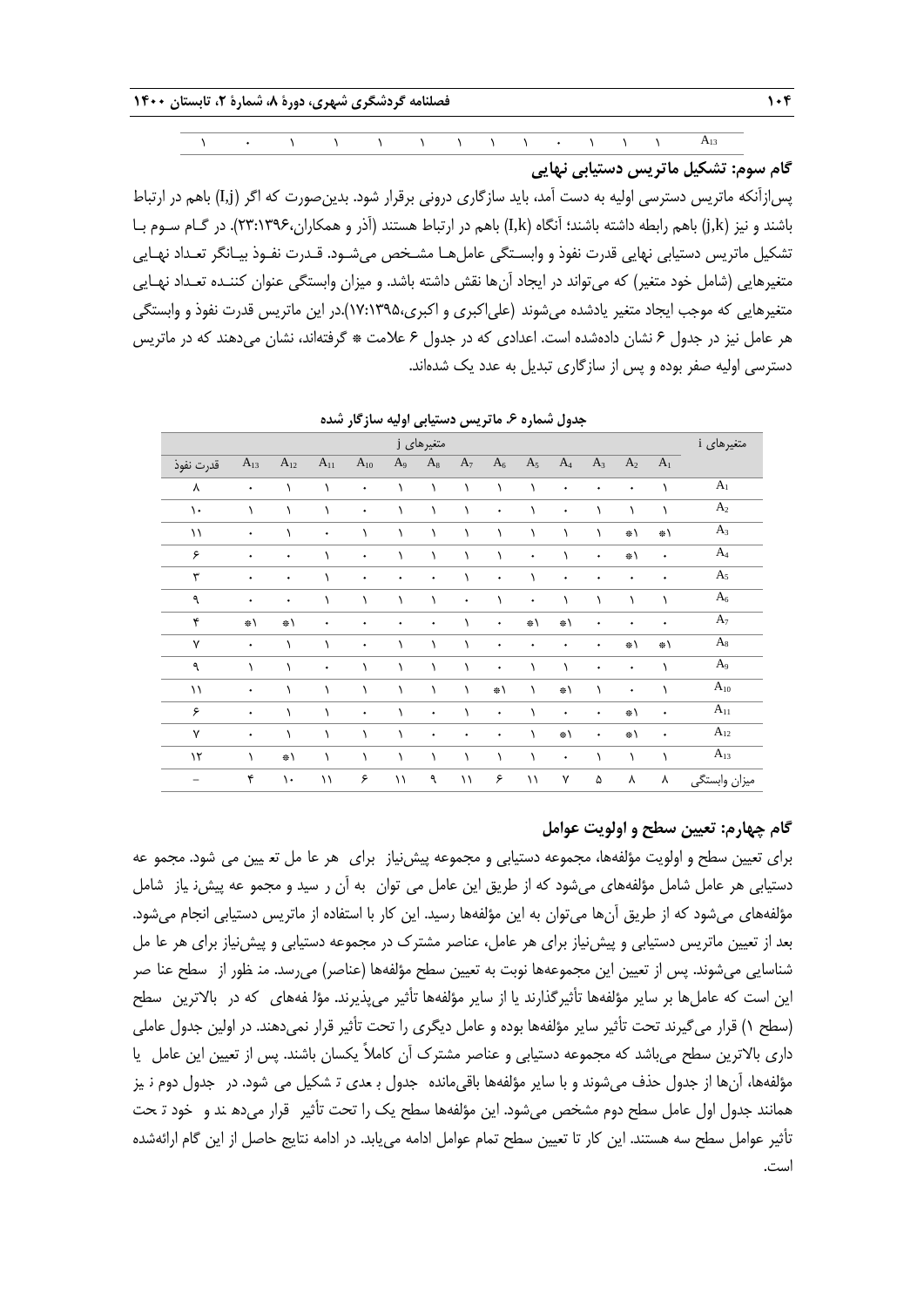$0 \rightarrow 0$  1 0 0 0 0 0 0 0 0 0 0 0 0 0 0 0 0  $A_{13}$ **گام سوم: تشکیل ماتریس دستیابی نهایی**

پسازآنکه ماتریس دسترسی اولیه به دست آمد، باید سازگاری درونی برقرار شود. بدینصورت که اگر )j,I )باهم در ارتباط باشند و نیز )k,j )باهم رابطه داشته باشند؛ آنگاه )k,I )باهم در ارتباط هستند )آذر و همکاران53:0331،(. در گـام سـوم بـا تشکیل ماتریس دستیابی نهایی قدرت نفوذ و وابسـتگی عاملهـا مشـخص میشـود. قـدرت نفـوذ بیـانگر تعـداد نهـایی متغیرهایی )شامل خود متغیر( که میتواند در ایجاد آنها نقش داشته باشد. و میزان وابستگی عنوان کننـده تعـداد نهـایی متغیرهایی که موجب ایجاد متغیر یادشده میشوند (علیاکبری و اکبری،۱۳۹۵:۱۷:۱۷).در این ماتریس قدرت نفوذ و وابستگی هر عامل نیز در جدول ۶ نشان دادهشده است. اعدادی که در جدول ۶ علامت \* گرفتهاند، نشان میدهند که در ماتریس دسترسی اولیه صفر بوده و پس از سازگاری تبدیل به عدد یک شدهاند.

|               |           |               |             |           |                | متغیرهای j |                |                |                |               |           |                |                | متغیرهای i     |
|---------------|-----------|---------------|-------------|-----------|----------------|------------|----------------|----------------|----------------|---------------|-----------|----------------|----------------|----------------|
| قدرت نفوذ     | $A_{13}$  | $A_{12}$      | $A_{11}$    | $A_{10}$  | A <sub>9</sub> | $A_8$      | A <sub>7</sub> | A <sub>6</sub> | A <sub>5</sub> | $A_4$         | $A_3$     | $\mathbf{A}_2$ | A <sub>1</sub> |                |
| ٨             | ۰         | ١             | ١           | ٠         |                | ١          | $\lambda$      | ١              | ١              | ۰             | ٠         | $\bullet$      | ١              | A <sub>1</sub> |
| $\mathcal{L}$ | ١         | $\lambda$     | ١           | ٠         |                | ١          | $\lambda$      | ۰              | ١              | ٠             |           | ١              | ١              | A <sub>2</sub> |
| $\setminus$   | $\bullet$ | ١             | $\bullet$   | $\lambda$ | ١              | $\lambda$  | $\lambda$      | ١              | $\lambda$      | $\lambda$     | $\lambda$ | *\             | ※\             | $A_3$          |
| ۶             | ۰         | ٠             | ١           | $\bullet$ |                | $\lambda$  | $\lambda$      | $\lambda$      | ۰              | ١             | $\bullet$ | ※\             | $\bullet$      | A <sub>4</sub> |
| ٣             | ۰         | ٠             | ١           | ۰         | ۰              | ٠          | ١              | ۰              | ١              | ۰             | ٠         | ۰              | ۰              | A <sub>5</sub> |
| ٩             | ۰         | ۰             | ١           | ١         |                | ١          | ٠              |                | $\bullet$      | $\lambda$     | ١         | ١              | ١              | $A_6$          |
| ۴             | ※\        | ※\            | $\bullet$   | $\bullet$ | ۰              | ۰          | $\lambda$      | ۰              | ※\             | $\Rightarrow$ | $\bullet$ | $\bullet$      | $\bullet$      | $A_7$          |
| Y             | ۰         | $\lambda$     | $\lambda$   | ٠         |                | ١          | $\lambda$      | ۰              | ۰              | ٠             | ٠         | ※\             | ※\             | $\rm A_8$      |
| ٩             | ١         | ١             | ٠           | ١         | ١              | ١          | ١              | ۰              | ١              | $\lambda$     | ٠         | ٠              |                | A <sub>9</sub> |
| $\setminus$   | $\bullet$ | ١             | ١           | $\lambda$ | ١              | $\lambda$  | $\lambda$      | ※\             | $\lambda$      | $\Rightarrow$ | $\lambda$ | $\bullet$      | ١              | $\rm A_{10}$   |
| ۶             | ۰         | ١             | ١           | $\bullet$ |                | ۰          | ١              | ۰              | $\lambda$      | ۰             | ۰         | ※\             | ۰              | $A_{11}$       |
| $\mathsf{v}$  | ٠         | $\lambda$     | ١           | ١         | ١              | ٠          | ۰              | ۰              | ١              | $\Rightarrow$ | ٠         | ※\             | $\bullet$      | $A_{12}$       |
| $\mathcal{N}$ | ١         | ※\            | $\lambda$   | $\lambda$ | ١              | $\lambda$  | $\lambda$      | $\lambda$      | $\lambda$      | $\bullet$     | ١         | $\lambda$      | $\lambda$      | $A_{13}$       |
| -             | ۴         | $\mathcal{L}$ | $\setminus$ | ۶         | ۱۱             | ٩          | $\setminus$    | ۶              | $\setminus$    | ٧             | ۵         | ٨              | ٨              | ميزان وابستگى  |

**جدول شماره .6 ماتریس دستیابی اولیه سازگار شده**

# **گام چهارم: تعیین سطح و اولویت عوامل**

برای تعیین سطح و اولویت مؤلفهها، مجموعه دستیابی و مجموعه پیشiیاز برای هر عا مل تع پین می شود. مجمو عه دستیابی هر عامل شامل مؤلفههای میشود که از طریق این عامل می توان به آن ر سید و مجمو عه پیش نیاز شامل مؤلفههای میشود که از طریق آنها میتوان به این مؤلفهها رسید. این کار با استفاده از ماتریس دستیابی انجام میشود. بعد از تعیین ماتریس دستیابی و پیش نیاز برای هر عامل، عناصر مشترک در مجموعه دستیابی و پیش نیاز برای هر عا مل شناسایی می شوند. پس از تعیین این مجموعهها نوبت به تعیین سطح مؤلفهها (عناصر) می رسد. من ظور از سطح عنا صر این است که عاملها بر سایر مؤلفهها تأثیرگذارند یا از سایر مؤلفهها تأثیر می $\zeta$ یدرند. مؤل فههای که در بالاترین سطح )سطح 0( قرار میگیرند تحت تأثیر سایر مؤلفهها بوده و عامل دیگری را تحت تأثیر قرار نمیدهند. در اولین جدول عاملی داری باالترین سطح میباشد که مجموعه دستیابی و عناصر مشترك آن کامالً یکسان باشند. پس از تعیین این عامل ییـا مؤلفهها، آنها از جدول حذف می شوند و با سایر مؤلفهها باقی،مانده ِ جدول بـ عدی تـ شکیل می شود. در حجدول دوم نـیز همانند جدول اول عامل سطح دوم مشخص می شود. این مؤلفهها سطح یک را تحت تأثیر قرار می ده ند و خود تحت تأثیر عوامل سطح سه هستند. این کار تا تعیین سطح تمام عوامل ادامه مییابد. در ادامه نتایج حاصل از این گام ارائهشده است.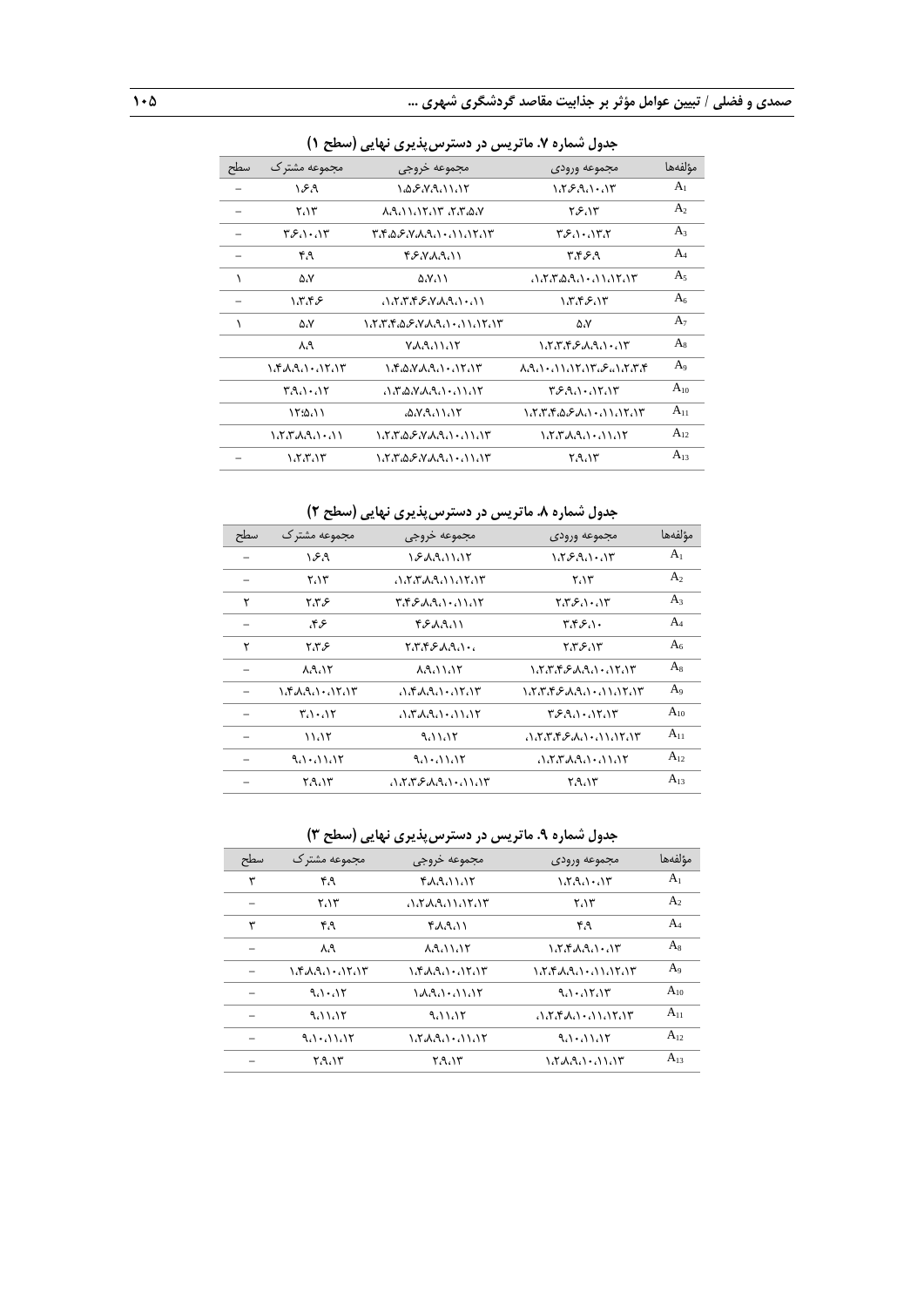|     | جدوں سمارہ ۰، مانریس در دسترس پدیری تھاپی رسطح ۱) |                                 |                           |                |  |  |  |  |  |  |
|-----|---------------------------------------------------|---------------------------------|---------------------------|----------------|--|--|--|--|--|--|
| سطح | مجموعه مشترک                                      | مجموعه خروجى                    | مجموعه ورودى              | مؤلفهها        |  |  |  |  |  |  |
|     | ۱۶۹                                               | 1.08.8.9.11.15                  | 1.759.1.17                | A <sub>1</sub> |  |  |  |  |  |  |
|     | ۲،۱۳                                              | いんいいいい バルムハ                     | ۲۶،۱۳                     | A <sub>2</sub> |  |  |  |  |  |  |
|     | ۳۶،۱۰،۱۳                                          | ۳،۴،۵،۶،۷،۸،۹،۱۰،۱۱،۱۲،۱۳       | ۳۶،۱۰،۱۳،۲                | $A_3$          |  |  |  |  |  |  |
|     | ۴۹                                                | ۴۶٬۷۸٬۹٬۱۱                      | ۳،۴۶،۹                    | $A_4$          |  |  |  |  |  |  |
|     | ۵،۷                                               | $\Delta$ $\mathcal{N}$ $\wedge$ | いさざぬさい・いいじい               | A <sub>5</sub> |  |  |  |  |  |  |
|     | ۱،۳،۴۶                                            | いさんかんいんきん                       | ۱،۳،۴۶،۱۳                 | A <sub>6</sub> |  |  |  |  |  |  |
| ١   | ۵،۷                                               |                                 | ۵،۷                       | A <sub>7</sub> |  |  |  |  |  |  |
|     | ۸،۹                                               | <b>YAANNIY</b>                  | 1888 E.A.A. 187           | $A_8$          |  |  |  |  |  |  |
|     | 1.۴.۸.۹.۱۰.۱۲.۱۳                                  | 1.۴،۵،۷،۸،۹،۱۰،۱۲،۱۳            | <b>入れい・ハハハビハビング・ハビンド</b>  | A <sub>9</sub> |  |  |  |  |  |  |
|     | ۳٬۹٬۱۰٬۱۲                                         | いざぬびみさい・いいじ                     | ۳۶۹٬۱۰٬۱۲٬۱۳              | $A_{10}$       |  |  |  |  |  |  |
|     | $\Upsilon$ :4.)                                   | ۵،۷،۹،۱۱،۱۲                     | ۱،۲،۳،۴،۵،۶،۸،۱۰،۱۱،۱۲،۱۳ | $A_{11}$       |  |  |  |  |  |  |
|     | 1.8.8.8.1.11                                      |                                 |                           | $A_{12}$       |  |  |  |  |  |  |
|     | ۱،۲،۳،۱۳                                          | ۱٬۲٬۳٬۵٬۶٬۷٬۸٬۹٬۱۰٬۱۱٬۱۳        | ۲،۹،۱۳                    | $A_{13}$       |  |  |  |  |  |  |
|     |                                                   |                                 |                           |                |  |  |  |  |  |  |

**جدول شماره .7 ماتریس در دسترسپذیری نهایی )سطح 1(**

**جدول شماره .8 ماتریس در دسترسپذیری نهایی )سطح 2(**

| سطح | مجموعه مشترك                  | مجموعه خروجى          | مجموعه ورودى              | مؤلفهها        |
|-----|-------------------------------|-----------------------|---------------------------|----------------|
|     | ۱۶۹                           | 182211115             | ۱،۲۶٬۹،۱۰،۱۳              | A <sub>1</sub> |
|     | ۲،۱۳                          | いさざみさいいじいじ            | ۲،۱۳                      | A <sub>2</sub> |
| ۲   | ۶،۳۶                          | ۳،۴،۶،۸،۹،۱۰،۱۱،۱۲    | ۲،۳،۶،۱۰،۱۳               | $A_3$          |
|     | ع۴۶،                          | ۴۶۸٬۹٬۱۱              | ۳،۴۶،۱۰                   | $A_4$          |
| ۲   | ۶۳۶                           | ، ۱، ۹، ۹، ۴، ۴، ۴، ۲ | ۲،۳۶،۱۳                   | A <sub>6</sub> |
|     | 88.15                         | <b>88.11.15</b>       | 1.8.8.8.2.0.1.18.18       | $A_8$          |
|     | ۱،۴،۸،۹،۱۰،۱۲،۱۳              | いきんさい・ハキハギ            | 1888 EARD 011878          | A <sub>9</sub> |
|     | $\mathbf{r} \cdot \mathbf{r}$ | いざんさい・いいじ             | ۳۶۹۸۰٬۱۲٬۱۳               | $A_{10}$       |
|     | 11.17                         | ۹،۱۱،۱۲               | ۳۱،۲،۲،۴،۶،۸،۱۰،۱۱،۱۲،۱۳، | $A_{11}$       |
|     | $9.1 \cdot 11.17$             | $9.1 \cdot 11.11$     | いさざみさい・ハハバ                | $A_{12}$       |
|     | ۲٬۹٬۱۳                        | いさんさんさい・ハハド           | ۲٬۹٬۱۳                    | $A_{13}$       |

# **جدول شماره .9 ماتریس در دسترسپذیری نهایی )سطح 3(**

| سطح | مجموعه مشترك       | مجموعه خروجى                                                                    | مجموعه ورودى      | مؤلفهها        |
|-----|--------------------|---------------------------------------------------------------------------------|-------------------|----------------|
| ٣   | ۴،۹                | ۴۸٬۹٬۱۱٬۱۲                                                                      | いたへい・ハド           | A <sub>1</sub> |
|     | ۲،۱۳               | いさんさいいいい                                                                        | ۲،۱۳              | A <sub>2</sub> |
| ٣   | ۴۹                 | ۴٬۸٬۹٬۱۱                                                                        | ۴۹                | $A_4$          |
|     | ۸،۹                | 880101                                                                          | 1.7.54.9.1.11     | $A_8$          |
|     | 1.۴ d.A.1 1 17.1 ۳ | $\lambda$ $A$ $A$ $A$ $A$ $A$ $A$ $A$ $A$ $T$                                   |                   | $A_9$          |
|     | $9.1 \cdot .17$    | $\mathcal{A} \mathcal{A} \mathcal{A} \cdot \mathcal{A} \mathcal{A} \mathcal{A}$ | $9.1 \cdot 17.17$ | $A_{10}$       |
|     | ۹،۱۱،۱۲            | ۹،۱۱،۱۲                                                                         | いさんい・いいてい         | $A_{11}$       |
|     | $9.1 \cdot 11.11$  | 1.822.1.11.18                                                                   | $9.1 \cdot 11.11$ | $A_{12}$       |
|     | ۲٬۹٬۱۳             | ۲،۹،۱۳                                                                          | $\lambda$         | $A_{13}$       |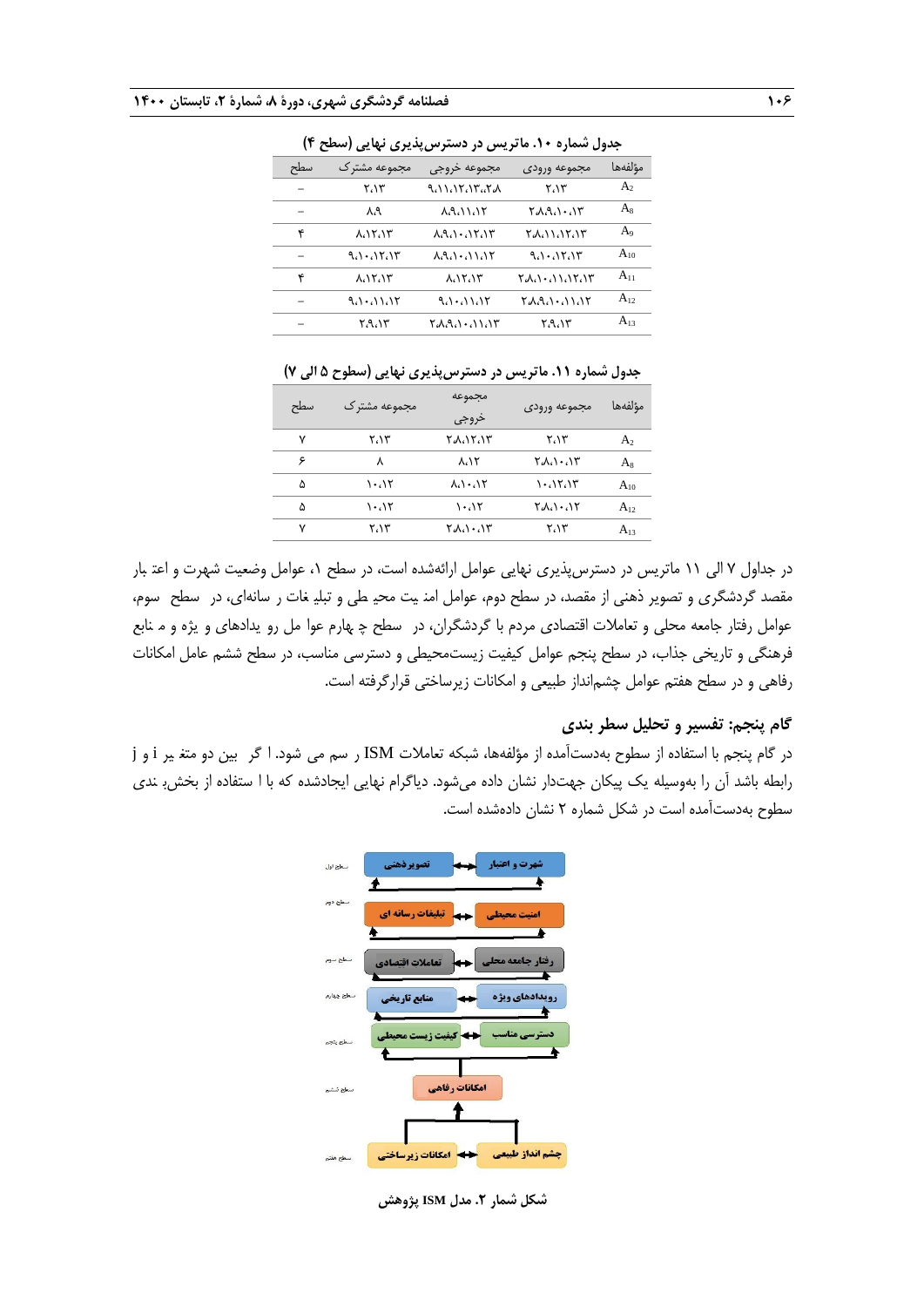| جنون سندره ۰۰۰ تریس در مسترس پندیزی نهایی رستی ۱٬ |                   |                                                         |                   |                |  |  |  |  |  |
|---------------------------------------------------|-------------------|---------------------------------------------------------|-------------------|----------------|--|--|--|--|--|
| سطح                                               | مجموعه مشتر ک     | مجموعه خروجى                                            | مجموعه ورودى      | مؤلفهها        |  |  |  |  |  |
|                                                   | ۲،۱۳              | <b>AAAATAAA</b>                                         | ۲،۱۳              | A <sub>2</sub> |  |  |  |  |  |
|                                                   | ሊላ                | <b>A.A. 11.15</b>                                       | ۲٬۸٬۹٬۱۰٬۱۳       | $A_8$          |  |  |  |  |  |
| ۴                                                 | ۸،۱۲،۱۳           | $\lambda$ A $\cdots$                                    | ۲۸،۱۱،۱۲،۱۳       | A <sub>9</sub> |  |  |  |  |  |
|                                                   | $9.1 \cdot 17.11$ | $\lambda \lambda \lambda \cdot \lambda \lambda \lambda$ | $9.1 \cdot 11.11$ | $A_{10}$       |  |  |  |  |  |
| ۴                                                 | ۸،۱۲،۱۳           | ۸،۱۲،۱۳                                                 | ۲٬۸٬۱۰٬۱۱٬۱۲٬۱۳   | $A_{11}$       |  |  |  |  |  |
|                                                   | $9.1 \cdot 11.11$ | $9.1 \cdot 11.17$                                       | ۲٬۸٬۹٬۱۰٬۱۱٬۱۲    | $A_{12}$       |  |  |  |  |  |
|                                                   | ۲٬۹٬۱۳            | ۲٬۸٬۹٬۱۰٬۱۱٬۱۳                                          | ۲٬۹٬۱۳            | $A_{13}$       |  |  |  |  |  |
|                                                   |                   |                                                         |                   |                |  |  |  |  |  |

**جدول شماره .10 ماتریس در دسترسپذیری نهایی )سطح 4(**

**جدول شماره .11 ماتریس در دسترسپذیری نهایی )سطوح 5 الی 7(**

| سطح | مجموعه مشتر ک | مجموعه<br>خروجي | مجموعه ورودى | مؤلفهها        |
|-----|---------------|-----------------|--------------|----------------|
| ۷   | ۲،۱۳          | ۲٬۸٬۱۲٬۱۳       | ۲،۱۳         | A <sub>2</sub> |
|     |               |                 |              |                |
| ۶   | ٨             | አለ ነ            | てんい・ハド       | $A_8$          |
| ۵   | ۱۰،۱۲         | ハハ・ハイ           | ۱۰،۱۲،۱۳     | $A_{10}$       |
| ۵   | ۱۰،۱۲         | ۱۰،۱۲           | しいいい         | $A_{12}$       |
| ۷   | ۲،۱۳          | ۲٬۸٬۱۰٬۱۳       | ۲،۱۳         | $A_{13}$       |
|     |               |                 |              |                |

در جداول 7 الی 00 ماتریس در دسترسپذیری نهایی عوامل ارائهشده است، در سطح ،0 عوامل وضعیت شهرت و اعت بار اعتبـار مقصد گردشگری و تصویر ذهنی از مقصد، در سطح دوم، عوامل امن یت محیـ طی و تبلیـ غات ر سانهای، در سطح سوم، عوامل رفتار جامعه محلی و تعاملات اقتصادی مردم با گردشگران، در سطح چ هارم عوا مل رو یدادهای و یژه و مـنابع فرهنگی و تاریخی جذاب، در سطح پنجم عوامل کیفیت زیستمحیطی و دسترسی مناسب، در سطح ششم عامل امکانات رفاهی و در سطح هفتم عوامل چشمانداز طبیعی و امکانات زیرساختی قرارگرفته است.

#### **گام پنجم: تفسیر و تحلیل سطر بندی**

در گام پنجم با استفاده از سطوح بهدستآمده از مؤلفهها، شبکه تعاملات ISM ر سم می شود. ا گر بین دو متغ یر j و j رابطه باشد آن را بهوسیله یک پیکان جهتدار نشان داده میشود. دیاگرام نهایی ایجادشده که با ا ستفاده از بخش ِ ندی سطوح بهدستآمده است در شکل شماره 5 نشان دادهشده است.



**شکل شمار .2 مدل ISM پژوهش**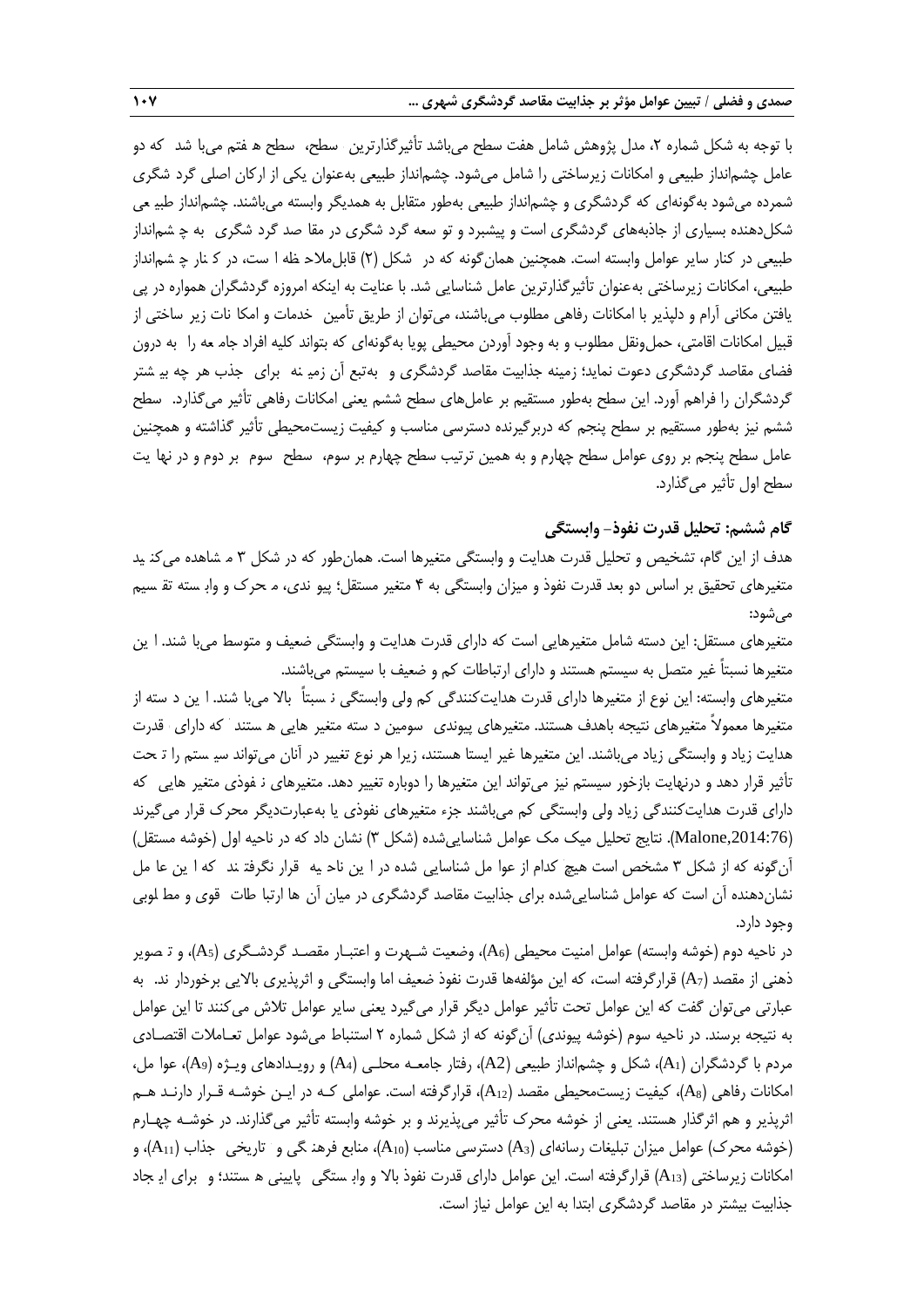با توجه به شکل شماره ۲، مدل پژوهش شامل هفت سطح میباشد تأثیرگذارترین سطح، سطح ه فتم می با شد که دو عامل چشمانداز طبیعی و امکانات زیرساختی را شامل میشود. چشمانداز طبیعی بهعنوان یکی از ارکان اصلی گرد شگری شمرده میشود بهگونهای که گردشگری و چشمانداز طبیعی بهطور متقابل به همدیگر وابسته میباشند. چشمانداز عطبیعـی شکل(دهنده بسیاری از جاذبههای گردشگری است و پیشبرد و تو سعه گرد شگری در مقا صد گرد شگری به چ شم|نداز طبیعی در کنار سایر عوامل وابسته است. همچنین همانگونه که در شکل (۲) قابلملاح ظه ا ست، در ک نار چ شمانداز طبیعی، امکانات زیرساختی بهعنوان تأثیرگذارترین عامل شناسایی شد. با عنایت به اینکه امروزه گردشگران همواره در پی یافتن مکانی آرام و دلپذیر با امکانات رفاهی مطلوب میباشند، می توان از طریق تأمین خدمات و امکا نات زیر ساختی از قبیل امکانات اقامتی، حملونقل مطلوب و به وجود آوردن محیطی پویا بهگونهای که بتواند کلیه افراد جام مه را به درون فضای مقاصد گردشگری دعوت نماید؛ زمینه جذابیت مقاصد گردشگری و بهتبع آن زمیـنه برای جذب هر چه بیـشتر گردشگران را فراهم آورد. این سطح بهطور مستقیم بر عاملهای سطح ششم یعنی امکانات رفاهی تأثیر میگذارد. سطح گذارد. سـطح ششم نیز بهطور مستقیم بر سطح پنجم که دربرگیرنده دسترسی مناسب و کیفیت زیستمحیطی تأثیر گذاشته و همچنین عامل سطح پنجم بر روی عوامل سطح چهارم و به همین ترتیب سطح چهارم بر سوم، سطح سوم بر دوم و در نها یت سطح اول تأثیر میگذارد.

### **گام ششم: تحلیل قدرت نفوذ- وابستگی**

هدف از این گام، تشخیص و تحلیل قدرت هدایت و وابستگی متغیرها است. همانطور که در شکل 3 م شاهده مشـاهده می یکنیـد متغیرهای تحقیق بر اساس دو بعد قدرت نفوذ و میزان وابستگی به ۴ متغیر مستقل؛ پیو ندی، م حرک و واب سته تق سیم میشود:

متغیرهای مستقل: این دسته شامل متغیرهایی است که دارای قدرت هدایت و وابستگی ضعیف و متوسط می با شند. ا پن متغیرها نسبتاً غیر متصل به سیستم هستند و دارای ارتباطات کم و ضعیف با سیستم میباشند.

متغیرهای وابسته: این نوع از متغیرها دارای قدرت هدایتکنندگی کم ولی وابستگی نـسبتاً بالا می اشند. ا ین د سته از متغیرها معمولاً متغیرهای نتیجه باهدف هستند. متغیرهای پیوندی سومین د سته متغیر هایی ه ستند که دارای قدرت هدایت زیاد و وابستگی زیاد میباشند. این متغیرها غیر ایستا هستند، زیرا هر نوع تغییر در آنان میتواند سیـ ستم را تـحت تأثیر قرار دهد و درنهایت بازخور سیستم نیز میتواند این متغیرها را دوباره تغییر دهد. متغیرهای نـفوذی متغیر هایی که دارای قدرت هدایتکنندگی زیاد ولی وابستگی کم میباشند جزه متغیرهای نفوذی یا بهعبارتدیگر محرك قرار میگیرند ),2014:76Malone). نتایج تحلیل میک مک عوامل شناساییشده )شکل 3( نشان داد که در ناحیه اول )خوشه مستقل( آنگونه که از شکل ۳ مشخص است هیچ کدام از عوا مل شناسایی شده در ا ین ناح یه قرار نگرفتـند که ا ین عا مل نشاندهنده آن است که عوامل شناسایی شده برای جذابیت مقاصد گردشگری در میان آن ها ارتبا طات قوی و مط لوبی وجود دارد.

در ناحیه دوم (خوشه وابسته) عوامل امنیت محیطی (A<sub>6</sub>)، وضعیت شـهرت و اعتبـار مقصـد گردشـگری (A<sub>5</sub>)، و تـصویر ذهنی از مقصد (A<sub>7</sub>) قرارگرفته است، که این مؤلفهها قدرت نفوذ ضعیف اما وابستگی و اثرپذیری بالایی برخوردار ند. به عبارتی میتوان گفت که این عوامل تحت تأثیر عوامل دیگر قرار میگیرد یعنی سایر عوامل تالش میکنند تا این عوامل به نتیجه برسند. در ناحیه سوم (خوشه پیوندی) آن گونه که از شکل شماره ۲ استنباط می شود عوامل تعـاملات اقتصـادی مردم با گردشگران )1A)، شکل و چشمانداز طبیعی )2A)، رفتار جامعـه محلـی )4A )و رویـدادهای ویـژه )9A)، عوا مل، عوامـل، امکانات رفاهی )8A)، کیفیت زیستمحیطی مقصد )12A)، قرارگرفته است. عواملی کـه در ایـن خوشـه قـرار دارنـد هـم اثرپذیر و هم اثرگذار هستند. یعنی از خوشه محرك تأثیر میپذیرند و بر خوشه وابسته تأثیر میگذارند. در خوشـه چهـارم )خوشه محرك( عوامل میزان تبلیغات رسانهای )3A )دسترسی مناسب )10A)، منابع فرهن گیفرهنگـی و تتـاریخی جذاب ) جـذاب 11A)، و امکانات زیرساختی (A13) قرارگرفته است. این عوامل دارای قدرت نفوذ بالا و وابـ ستگی پایینی ه ستند؛ و برای ایـ جاد جذابیت بیشتر در مقاصد گردشگری ابتدا به این عوامل نیاز است.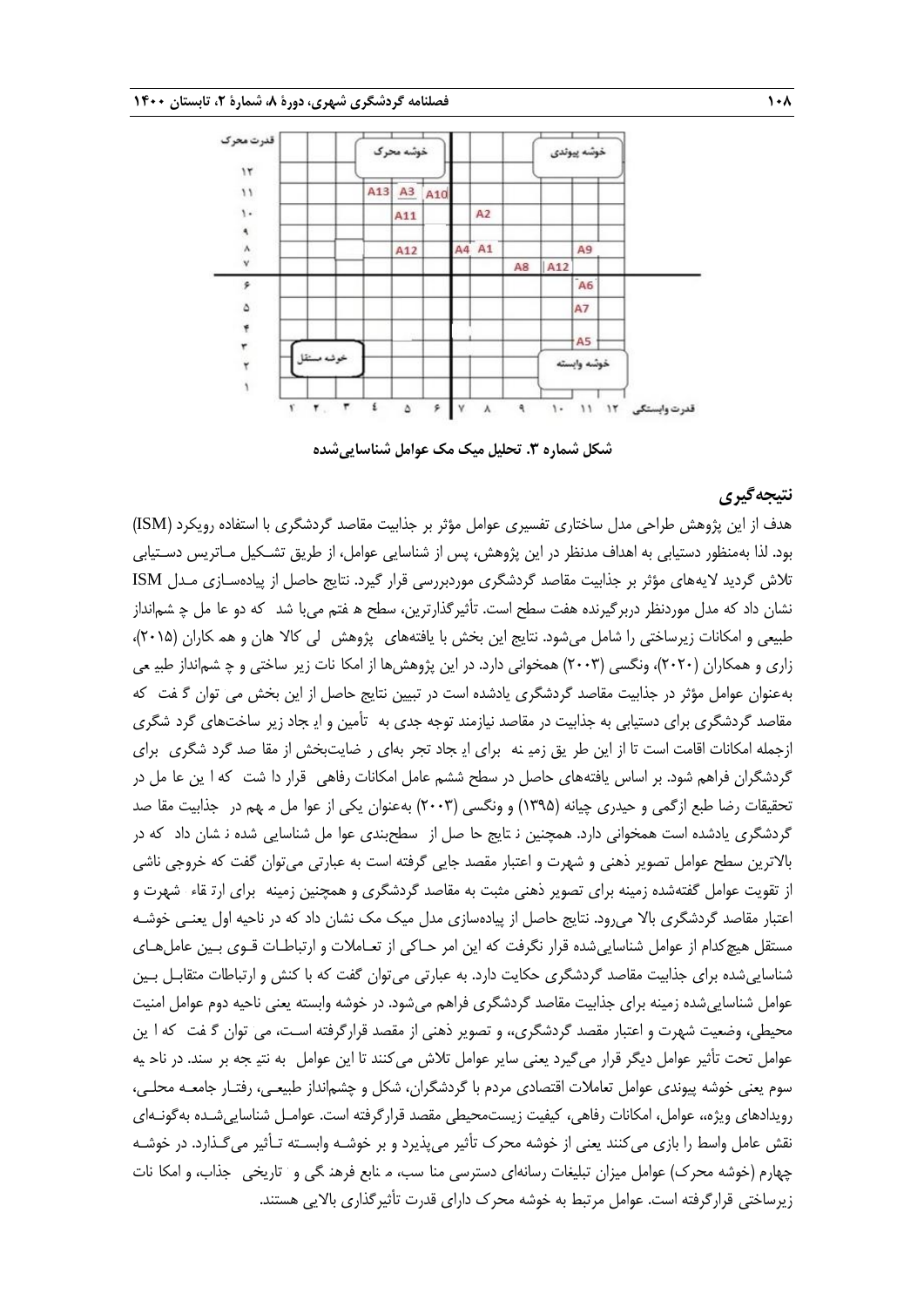

**شکل شماره .3 تحلیل میک مک عوامل شناساییشده**

#### **نتیجهگیری**

هدف از این پژوهش طراحی مدل ساختاری تفسیری عوامل مؤثر بر جذابیت مقاصد گردشگری با استفاده رویکرد )ISM ) بود. لذا بهمنظور دستیابی به اهداف مدنظر در این پژوهش، پس از شناسایی عوامل، از طریق تشـکیل مـاتریس دسـتیابی تالش گردید الیههای مؤثر بر جذابیت مقاصد گردشگری موردبررسی قرار گیرد. نتایج حاصل از پیادهسـازی مـدل ISM نشان داد که مدل موردنظر دربرگیرنده هفت سطح است. تأثیرگذارترین، سطح ه فتم میبا شد که دو عا مل چ شم|نداز طبیعی و امکانات زیرساختی را شامل میشود. نتایج این بخش با یافتههای پژوهش لی کالا هان و هم کاران (۲۰۱۵)، زاری و همکاران (۲۰۲۰)، ونگسی (۲۰۰۳) همخوانی دارد. در این پژوهش ها از امکا نات زیر ساختی و چ شم|نداز طبی می بهعنوان عوامل مؤثر در جذابیت مقاصد گردشگری یادشده است در تبیین نتایج حاصل از این بخش می توان گ فت که تـوان گفـت کـه مقاصد گردشگری برای دستیابی به جذابیت در مقاصد نیازمند توجه جدی به تأمین و ایـ جاد زیر ساختهای گرد شگری ازجمله امکانات اقامت است تا از این طر یق زمیـنه برای ایـجاد تجر بهای ر ضایتبخش از مقا صد گرد شگری برای گردشگران فراهم شود. بر اساس یافتههای حاصل در سطح ششم عامل امکانات رفاهی قرار دا شت که ا ین عا مل در تحقیقات رضا طبع ازگمی و حیدری چیانه (۱۳۹۵) و ونگسی (۲۰۰۳) بهعنوان یکی از عوا مل م هم در جذابیت مقا صد گردشگری یادشده است همخوانی دارد. همچنین ن تایج حا صل از سطحبندی عوا مل شناسایی شده ن شان داد که در باالترین سطح عوامل تصویر ذهنی و شهرت و اعتبار مقصد جایی گرفته است به عبارتی میتوان گفت که خروجی ناشی از تقویت عوامل گفتهشده زمینه برای تصویر ذهنی مثبت به مقاصد گردشگری و همچنین زمینه برای ارت قاه صد بـرای ارتقـاه شهرت و شـهرت اعتبار مقاصد گردشگری باال میرود. نتایج حاصل از پیادهسازی مدل میک مک نشان داد که در ناحیه اول یعنـی خوشـه مستقل هیچکدام از عوامل شناساییشده قرار نگرفت که این امر حـاکی از تعـامالت و ارتباطـات قـوی بـین عاملهـای شناساییشده برای جذابیت مقاصد گردشگری حکایت دارد. به عبارتی میتوان گفت که با کنش و ارتباطات متقابـل بـین عوامل شناساییشده زمینه برای جذابیت مقاصد گردشگری فراهم میشود. در خوشه وابسته یعنی ناحیه دوم عوامل امنیت محیطی، وضعیت شهرت و اعتبار مقصد گردشگری،، و تصویر ذهنی از مقصد قرارگرفته اسـت، می توان گـفت که ا ین عوامل تحت تأثیر عوامل دیگر قرار میگیرد یعنی سایر عوامل تلاش میکنند تا این عوامل به نتیـ جه بر سند. در ناحـ یه سوم یعنی خوشه پیوندی عوامل تعامالت اقتصادی مردم با گردشگران، شکل و چشمانداز طبیعـی، رفتـار جامعـه محلـی، رویدادهای ویژه،، عوامل، امکانات رفاهی، کیفیت زیستمحیطی مقصد قرارگرفته است. عوامـل شناساییشـده بهگونـهای نقش عامل واسط را بازی می کنند یعنی از خوشه محرک تأثیر میپذیرد و بر خوشـه وابسـته تـأثیر می $گـذارد. در خوشـه$ چهارم (خوشه محرک) عوامل میزان تبلیغات رسانهای دسترسی منا سب، مـ نابع فرهنـ گی و تتاریخی \_جذاب، و امکا نات زیرساختی قرارگرفته است. عوامل مرتبط به خوشه محرک دارای قدرت تأثیرگذاری بالایی هستند.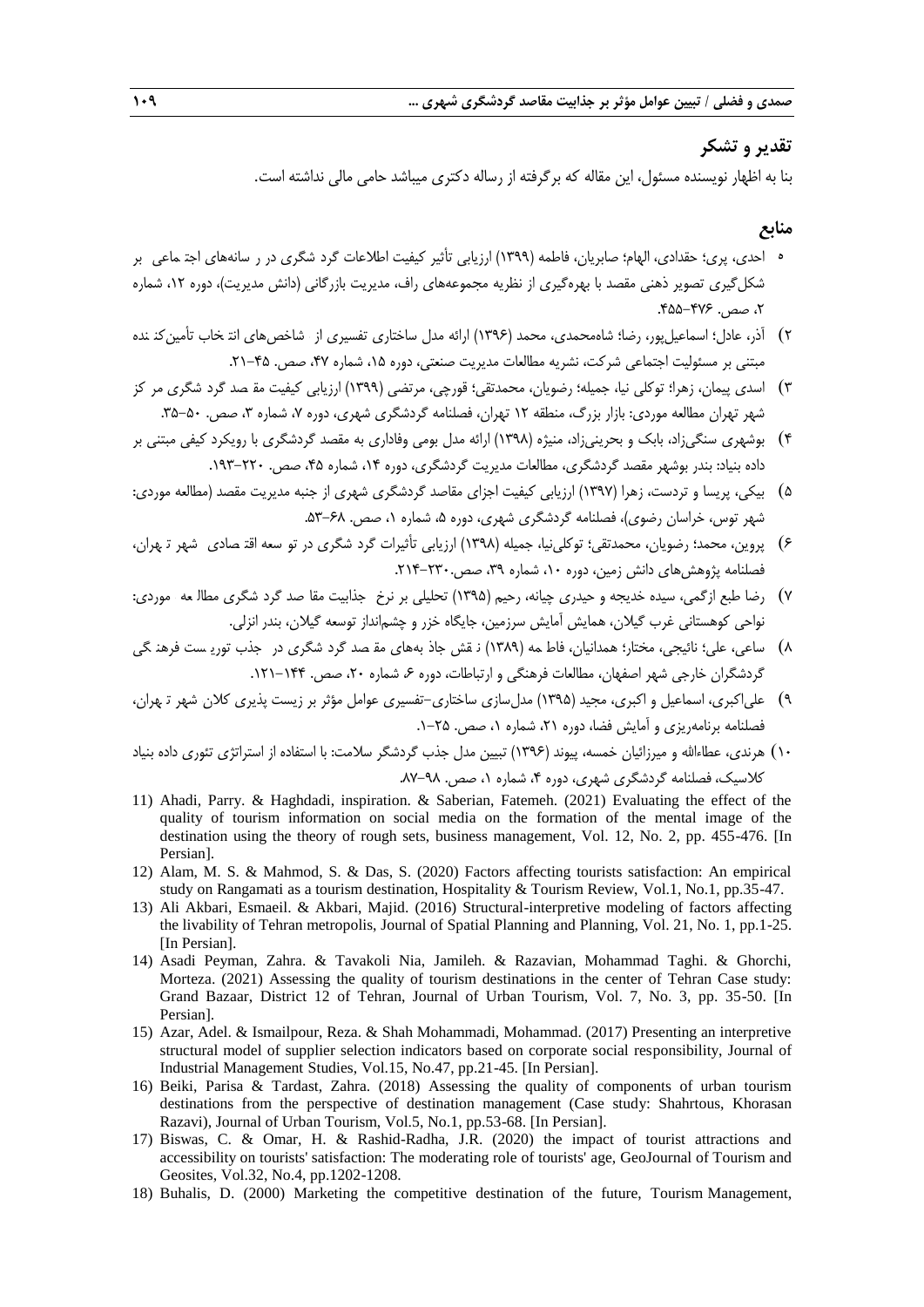# **تقدیر و تشکر**

بنا به اظهار نویسنده مسئول، این مقاله که برگرفته از رساله دکتری میباشد حامی مالی نداشته است.

## **منابع**

- ه احدی، پری؛ حقدادی، الهام؛ صابریان، فاطمه (١٣٩٩) ارزیابی تأثیر کیفیت اطلاعات گرد شگری در ر سانههای اجتـماعی بر شکل گیری تصویر ذهنی مقصد با بهرهگیری از نظریه مجموعههای راف، مدیریت بازرگانی (دانش مدیریت)، دوره ۱۲، شماره ۲، صص. ۴۷۶-۴۵۵.
- ۲) آذر، عادل؛ اسماعیل پور، رضا؛ شاهمحمدی، محمد (۱۳۹۶) ارائه مدل ساختاری تفسیری از شاخص های انت خاب تأمین کنـنده مبتنی بر مسئولیت اجتماعی شرکت، نشریه مطالعات مدیریت صنعتی، دوره ۱۵، شماره ۴۷، صص. ۴۵-۲۱.
- 3( اسدی پیمان، زهرا؛ توکلی نیا، جمیله؛ رضویان، محمدتقی؛ قورچی، مرتضی )0333( ارزیابی کیفیت مق صصـد گرد شگریگردشـگری کمرکـز شهر تهران مطالعه موردی: بازار بزرگ، منطقه ١٢ تهران، فصلنامه گردشگری شهری، دوره ٧، شماره ٣، صص. ۵۰-۳۵.
- 1( بوشهری سنگیزاد، بابک و بحرینیزاد، منیژه )0331( ارائه مدل بومی وفاداری به مقصد گردشگری با رویکرد کیفی مبتنی بر داده بنیاد: بندر بوشهر مقصد گردشگری، مطالعات مدیریت گردشگری، دوره ۱۴، شماره ۴۵، صص. ۲۲۰–۱۹۳.
- 2( بیکی، پریسا و تردست، زهرا )0337( ارزیابی کیفیت اجزای مقاصد گردشگری شهری از جنبه مدیریت مقصد )مطالعه موردی: شهر توس، خراسان رضوی)، فصلنامه گردشگری شهری، دوره ۵، شماره ۰، صص. ۶۸-۵۳.
- ۶) پروین، محمد؛ رضویان، محمدتقی؛ توکلیiیا، جمیله (۱۳۹۸) ارزیابی تأثیرات گرد شگری در تو سعه اقت صادی شهر تـهران، فصلنامه پژوهش های دانش زمین، دوره ۱۰، شماره ۳۹، صص.۳۲۰-۲۱۴.
- 7( رضا طبع ازگمی، سیده خدیجه و حیدری چیانه، رحیم )0332( تحلیلی بر نرخ جذابیت جـذابیت صمقاصـد گرد شگریگردشـگری مط عالعـه ممـوردی: نواحی کوهستانی غرب گیالن، همایش آمایش سرزمین، جایگاه خزر و چشمانداز توسعه گیالن، بندر انزلی.
- 1( ساعی، علی؛ نائیجی، مختار؛ همدانیان، فاط مه )فاطمـه )0313( قنقـش بجاذبـههای صمقصـد گرد شگریگردشـگری در ججـذب تور سیسـت فرهن گیفرهنگـی گردشگران خارجی شهر اصفهان، مطالعات فرهنگی و ارتباطات، دوره ۶، شماره ۲۰، صص. ۱۴۴–۱۲۱.
- 3( علیاکبری، اسماعیل و اکبری، مجید )0332( مدلسازی ساختاری-تفسیری عوامل مؤثر بر زیست پذیری کالن شهر ت هران، شـهر تهـران، فصلنامه برنامهریزی و آمایش فضا، دوره ۲۱، شماره ۰، صص. ۲۵-۱.
- 01( هرندی، عطاهاهلل و میرزائیان خمسه، پیوند )0331( تبیین مدل جذب گردشگر سالمت: با استفاده از استراتژی تئوری داده بنیاد کلاسیک، فصلنامه گردشگری شهری، دوره ۴، شماره ۱، صص. ۹۸-۸۲.
- 11) Ahadi, Parry. & Haghdadi, inspiration. & Saberian, Fatemeh. (2021) Evaluating the effect of the quality of tourism information on social media on the formation of the mental image of the destination using the theory of rough sets, business management, Vol. 12, No. 2, pp. 455-476. [In Persian].
- 12) Alam, M. S. & Mahmod, S. & Das, S. (2020) Factors affecting tourists satisfaction: An empirical study on Rangamati as a tourism destination, Hospitality & Tourism Review, Vol.1, No.1, pp.35-47.
- 13) Ali Akbari, Esmaeil. & Akbari, Majid. (2016) Structural-interpretive modeling of factors affecting the livability of Tehran metropolis, Journal of Spatial Planning and Planning, Vol. 21, No. 1, pp.1-25. [In Persian].
- 14) Asadi Peyman, Zahra. & Tavakoli Nia, Jamileh. & Razavian, Mohammad Taghi. & Ghorchi, Morteza. (2021) Assessing the quality of tourism destinations in the center of Tehran Case study: Grand Bazaar, District 12 of Tehran, Journal of Urban Tourism, Vol. 7, No. 3, pp. 35-50. [In Persian].
- 15) Azar, Adel. & Ismailpour, Reza. & Shah Mohammadi, Mohammad. (2017) Presenting an interpretive structural model of supplier selection indicators based on corporate social responsibility, Journal of Industrial Management Studies, Vol.15, No.47, pp.21-45. [In Persian].
- 16) Beiki, Parisa & Tardast, Zahra. (2018) Assessing the quality of components of urban tourism destinations from the perspective of destination management (Case study: Shahrtous, Khorasan Razavi), Journal of Urban Tourism, Vol.5, No.1, pp.53-68. [In Persian].
- 17) Biswas, C. & Omar, H. & Rashid-Radha, J.R. (2020) the impact of tourist attractions and accessibility on tourists' satisfaction: The moderating role of tourists' age, GeoJournal of Tourism and Geosites, Vol.32, No.4, pp.1202-1208.
- 18) Buhalis, D. (2000) Marketing the competitive destination of the future, Tourism Management,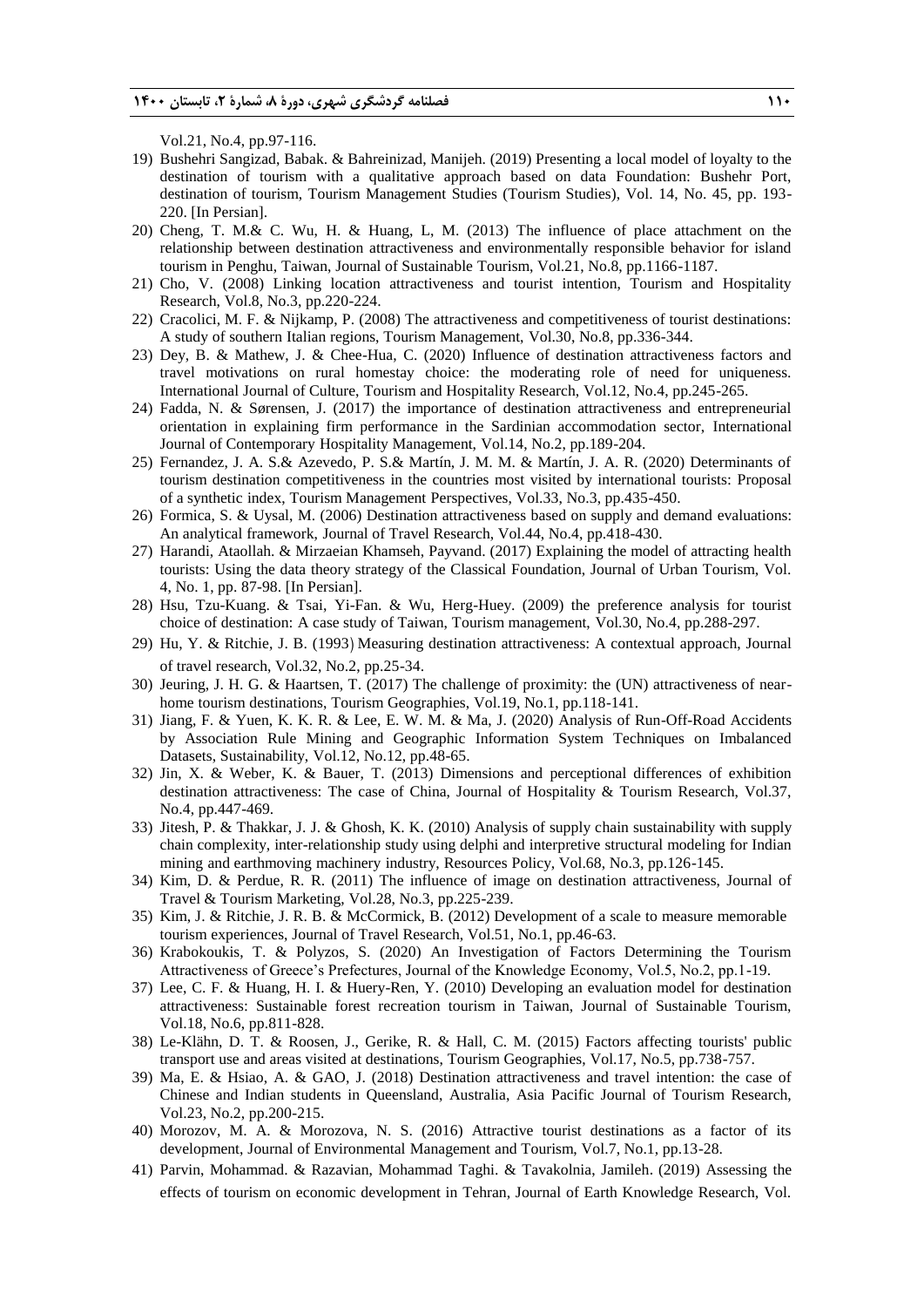Vol.21, No.4, pp.97-116.

- 19) Bushehri Sangizad, Babak. & Bahreinizad, Manijeh. (2019) Presenting a local model of loyalty to the destination of tourism with a qualitative approach based on data Foundation: Bushehr Port, destination of tourism, Tourism Management Studies (Tourism Studies), Vol. 14, No. 45, pp. 193- 220. [In Persian].
- 20) Cheng, T. M.& C. Wu, H. & Huang, L, M. (2013) The influence of place attachment on the relationship between destination attractiveness and environmentally responsible behavior for island tourism in Penghu, Taiwan, Journal of Sustainable Tourism, Vol.21, No.8, pp.1166-1187.
- 21) Cho, V. (2008) Linking location attractiveness and tourist intention, Tourism and Hospitality Research, Vol.8, No.3, pp.220-224.
- 22) Cracolici, M. F. & Nijkamp, P. (2008) The attractiveness and competitiveness of tourist destinations: A study of southern Italian regions, Tourism Management, Vol.30, No.8, pp.336-344.
- 23) Dey, B. & Mathew, J. & Chee-Hua, C. (2020) Influence of destination attractiveness factors and travel motivations on rural homestay choice: the moderating role of need for uniqueness. International Journal of Culture, Tourism and Hospitality Research, Vol.12, No.4, pp.245-265.
- 24) Fadda, N. & Sørensen, J. (2017) the importance of destination attractiveness and entrepreneurial orientation in explaining firm performance in the Sardinian accommodation sector, International Journal of Contemporary Hospitality Management, Vol.14, No.2, pp.189-204.
- 25) Fernandez, J. A. S.& Azevedo, P. S.& Martín, J. M. M. & Martín, J. A. R. (2020) Determinants of tourism destination competitiveness in the countries most visited by international tourists: Proposal of a synthetic index, Tourism Management Perspectives, Vol.33, No.3, pp.435-450.
- 26) Formica, S. & Uysal, M. (2006) Destination attractiveness based on supply and demand evaluations: An analytical framework, Journal of Travel Research, Vol.44, No.4, pp.418-430.
- 27) Harandi, Ataollah. & Mirzaeian Khamseh, Payvand. (2017) Explaining the model of attracting health tourists: Using the data theory strategy of the Classical Foundation, Journal of Urban Tourism, Vol. 4, No. 1, pp. 87-98. [In Persian].
- 28) Hsu, Tzu-Kuang. & Tsai, Yi-Fan. & Wu, Herg-Huey. (2009) the preference analysis for tourist choice of destination: A case study of Taiwan, Tourism management, Vol.30, No.4, pp.288-297.
- 29) Hu, Y. & Ritchie, J. B. (1993) Measuring destination attractiveness: A contextual approach, Journal of travel research, Vol.32, No.2, pp.25-34.
- 30) Jeuring, J. H. G. & Haartsen, T. (2017) The challenge of proximity: the (UN) attractiveness of nearhome tourism destinations, Tourism Geographies, Vol.19, No.1, pp.118-141.
- 31) Jiang, F. & Yuen, K. K. R. & Lee, E. W. M. & Ma, J. (2020) Analysis of Run-Off-Road Accidents by Association Rule Mining and Geographic Information System Techniques on Imbalanced Datasets, Sustainability, Vol.12, No.12, pp.48-65.
- 32) Jin, X. & Weber, K. & Bauer, T. (2013) Dimensions and perceptional differences of exhibition destination attractiveness: The case of China, Journal of Hospitality & Tourism Research, Vol.37, No.4, pp.447-469.
- 33) Jitesh, P. & Thakkar, J. J. & Ghosh, K. K. (2010) Analysis of supply chain sustainability with supply chain complexity, inter-relationship study using delphi and interpretive structural modeling for Indian mining and earthmoving machinery industry, Resources Policy, Vol.68, No.3, pp.126-145.
- 34) Kim, D. & Perdue, R. R. (2011) The influence of image on destination attractiveness, Journal of Travel & Tourism Marketing, Vol.28, No.3, pp.225-239.
- 35) Kim, J. & Ritchie, J. R. B. & McCormick, B. (2012) Development of a scale to measure memorable tourism experiences, Journal of Travel Research, Vol.51, No.1, pp.46-63.
- 36) Krabokoukis, T. & Polyzos, S. (2020) An Investigation of Factors Determining the Tourism Attractiveness of Greece's Prefectures, Journal of the Knowledge Economy, Vol.5, No.2, pp.1-19.
- 37) Lee, C. F. & Huang, H. I. & Huery-Ren, Y. (2010) Developing an evaluation model for destination attractiveness: Sustainable forest recreation tourism in Taiwan, Journal of Sustainable Tourism, Vol.18, No.6, pp.811-828.
- 38) Le-Klähn, D. T. & Roosen, J., Gerike, R. & Hall, C. M. (2015) Factors affecting tourists' public transport use and areas visited at destinations, Tourism Geographies, Vol.17, No.5, pp.738-757.
- 39) Ma, E. & Hsiao, A. & GAO, J. (2018) Destination attractiveness and travel intention: the case of Chinese and Indian students in Queensland, Australia, Asia Pacific Journal of Tourism Research, Vol.23, No.2, pp.200-215.
- 40) Morozov, M. A. & Morozova, N. S. (2016) Attractive tourist destinations as a factor of its development, Journal of Environmental Management and Tourism, Vol.7, No.1, pp.13-28.
- 41) Parvin, Mohammad. & Razavian, Mohammad Taghi. & Tavakolnia, Jamileh. (2019) Assessing the effects of tourism on economic development in Tehran, Journal of Earth Knowledge Research, Vol.